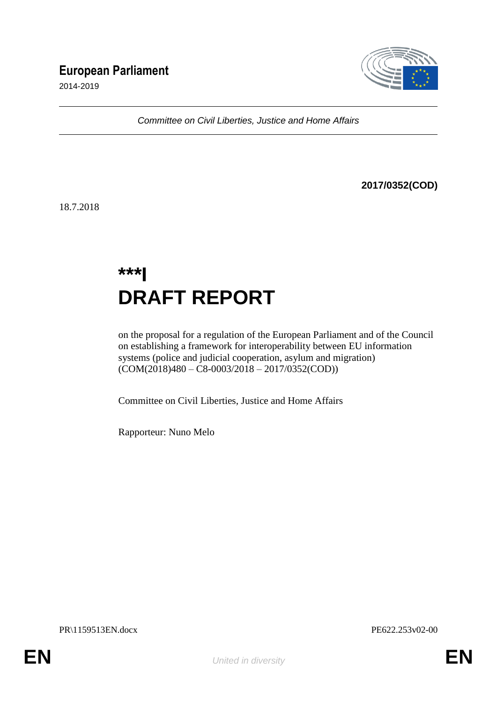## **European Parliament**

2014-2019



*Committee on Civil Liberties, Justice and Home Affairs*

**2017/0352(COD)**

18.7.2018

# **\*\*\*I DRAFT REPORT**

on the proposal for a regulation of the European Parliament and of the Council on establishing a framework for interoperability between EU information systems (police and judicial cooperation, asylum and migration)  $(COM(2018)480 - C8-0003/2018 - 2017/0352(COD))$ 

Committee on Civil Liberties, Justice and Home Affairs

Rapporteur: Nuno Melo

PR\1159513EN.docx PE622.253v02-00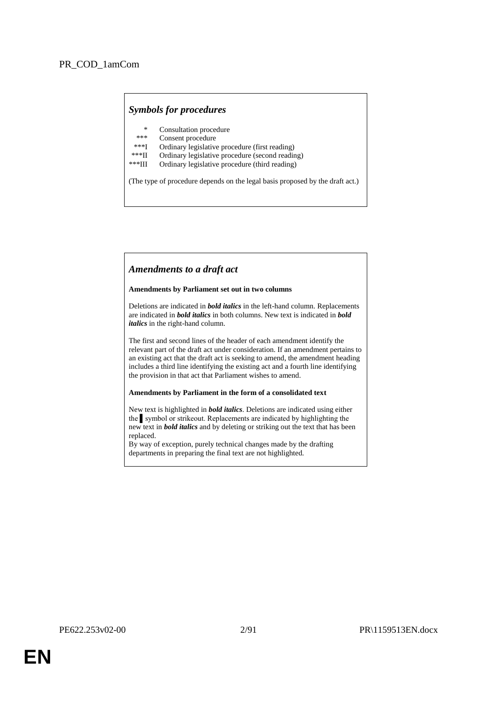#### *Symbols for procedures*

- Consultation procedure
- \*\*\* Consent procedure
- \*\*\*I Ordinary legislative procedure (first reading)
- \*\*\*II Ordinary legislative procedure (second reading)
- Ordinary legislative procedure (third reading)

(The type of procedure depends on the legal basis proposed by the draft act.)

#### *Amendments to a draft act*

#### **Amendments by Parliament set out in two columns**

Deletions are indicated in *bold italics* in the left-hand column. Replacements are indicated in *bold italics* in both columns. New text is indicated in *bold italics* in the right-hand column.

The first and second lines of the header of each amendment identify the relevant part of the draft act under consideration. If an amendment pertains to an existing act that the draft act is seeking to amend, the amendment heading includes a third line identifying the existing act and a fourth line identifying the provision in that act that Parliament wishes to amend.

#### **Amendments by Parliament in the form of a consolidated text**

New text is highlighted in *bold italics*. Deletions are indicated using either the ▌symbol or strikeout. Replacements are indicated by highlighting the new text in *bold italics* and by deleting or striking out the text that has been replaced.

By way of exception, purely technical changes made by the drafting departments in preparing the final text are not highlighted.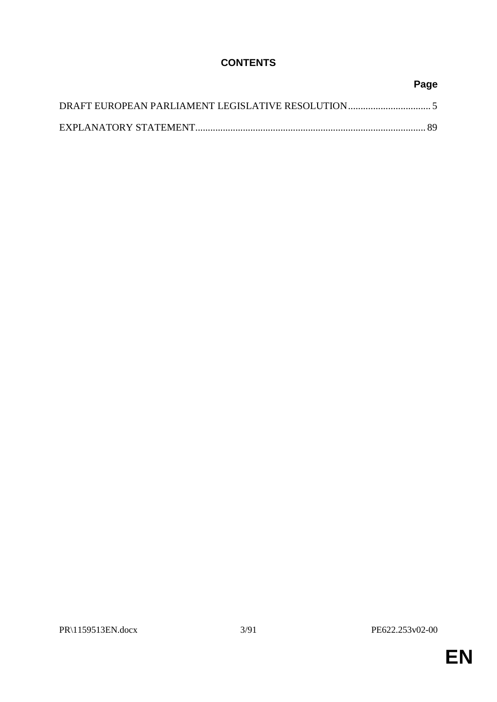### **CONTENTS**

# **Page** DRAFT EUROPEAN PARLIAMENT LEGISLATIVE RESOLUTION................................. 5 EXPLANATORY STATEMENT............................................................................................ 89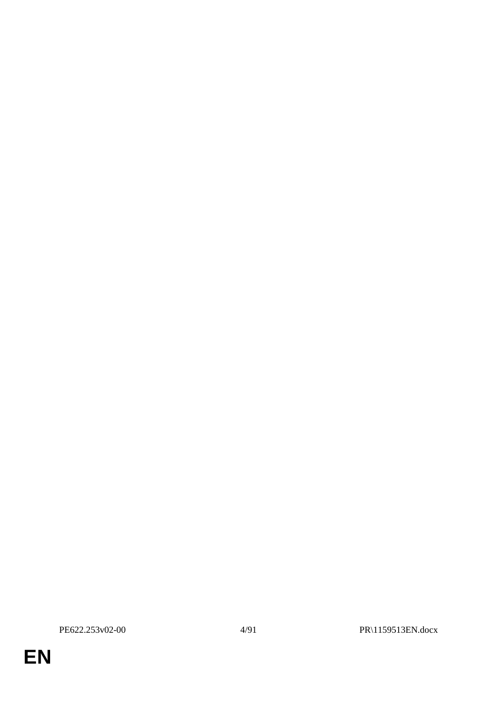PE622.253v02 -00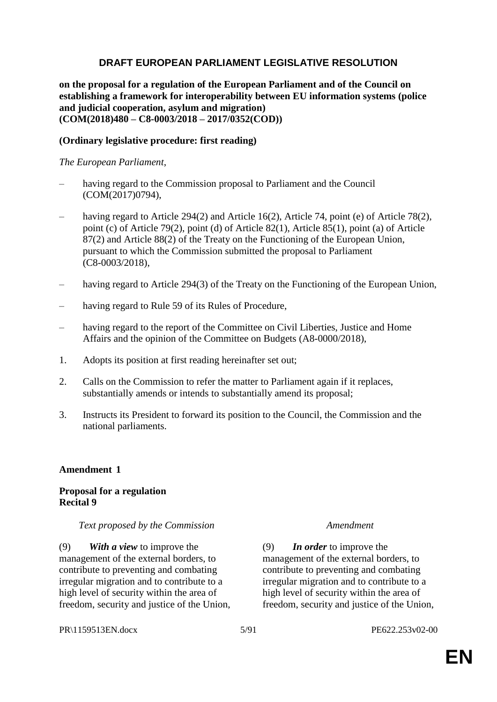### **DRAFT EUROPEAN PARLIAMENT LEGISLATIVE RESOLUTION**

**on the proposal for a regulation of the European Parliament and of the Council on establishing a framework for interoperability between EU information systems (police and judicial cooperation, asylum and migration) (COM(2018)480 – C8-0003/2018 – 2017/0352(COD))**

#### **(Ordinary legislative procedure: first reading)**

#### *The European Parliament*,

- having regard to the Commission proposal to Parliament and the Council (COM(2017)0794),
- having regard to Article 294(2) and Article 16(2), Article 74, point (e) of Article 78(2), point (c) of Article 79(2), point (d) of Article 82(1), Article 85(1), point (a) of Article 87(2) and Article 88(2) of the Treaty on the Functioning of the European Union, pursuant to which the Commission submitted the proposal to Parliament (C8-0003/2018),
- having regard to Article 294(3) of the Treaty on the Functioning of the European Union,
- having regard to Rule 59 of its Rules of Procedure,
- having regard to the report of the Committee on Civil Liberties, Justice and Home Affairs and the opinion of the Committee on Budgets (A8-0000/2018),
- 1. Adopts its position at first reading hereinafter set out;
- 2. Calls on the Commission to refer the matter to Parliament again if it replaces, substantially amends or intends to substantially amend its proposal;
- 3. Instructs its President to forward its position to the Council, the Commission and the national parliaments.

#### **Amendment 1**

#### **Proposal for a regulation Recital 9**

#### *Text proposed by the Commission Amendment*

(9) *With a view* to improve the management of the external borders, to contribute to preventing and combating irregular migration and to contribute to a high level of security within the area of freedom, security and justice of the Union,

(9) *In order* to improve the management of the external borders, to contribute to preventing and combating irregular migration and to contribute to a high level of security within the area of freedom, security and justice of the Union,

#### PR\1159513EN.docx 5/91 PE622.253v02-00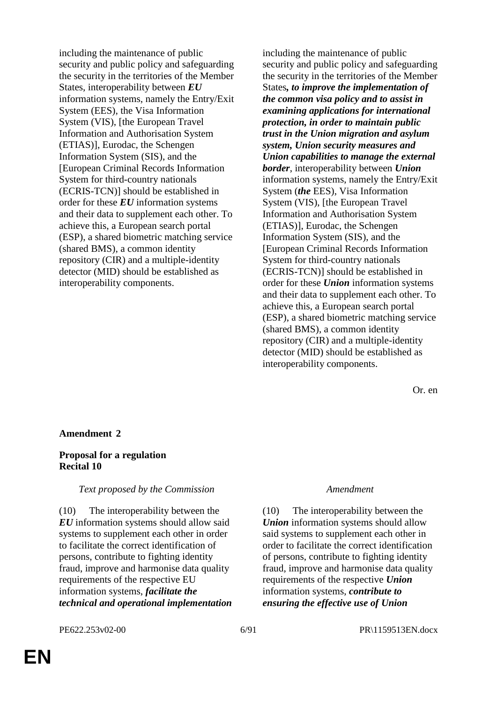including the maintenance of public security and public policy and safeguarding the security in the territories of the Member States, interoperability between *EU* information systems, namely the Entry/Exit System (EES), the Visa Information System (VIS), [the European Travel Information and Authorisation System (ETIAS)], Eurodac, the Schengen Information System (SIS), and the [European Criminal Records Information System for third-country nationals (ECRIS-TCN)] should be established in order for these *EU* information systems and their data to supplement each other. To achieve this, a European search portal (ESP), a shared biometric matching service (shared BMS), a common identity repository (CIR) and a multiple-identity detector (MID) should be established as interoperability components.

including the maintenance of public security and public policy and safeguarding the security in the territories of the Member States*, to improve the implementation of the common visa policy and to assist in examining applications for international protection, in order to maintain public trust in the Union migration and asylum system, Union security measures and Union capabilities to manage the external border*, interoperability between *Union* information systems, namely the Entry/Exit System (*the* EES), Visa Information System (VIS), [the European Travel Information and Authorisation System (ETIAS)], Eurodac, the Schengen Information System (SIS), and the [European Criminal Records Information System for third-country nationals (ECRIS-TCN)] should be established in order for these *Union* information systems and their data to supplement each other. To achieve this, a European search portal (ESP), a shared biometric matching service (shared BMS), a common identity repository (CIR) and a multiple-identity detector (MID) should be established as interoperability components.

Or. en

#### **Amendment 2**

#### **Proposal for a regulation Recital 10**

#### *Text proposed by the Commission Amendment*

(10) The interoperability between the *EU* information systems should allow said systems to supplement each other in order to facilitate the correct identification of persons, contribute to fighting identity fraud, improve and harmonise data quality requirements of the respective EU information systems, *facilitate the technical and operational implementation* 

(10) The interoperability between the *Union* information systems should allow said systems to supplement each other in order to facilitate the correct identification of persons, contribute to fighting identity fraud, improve and harmonise data quality requirements of the respective *Union* information systems, *contribute to ensuring the effective use of Union*

#### PE622.253v02-00 6/91 PR\1159513EN.docx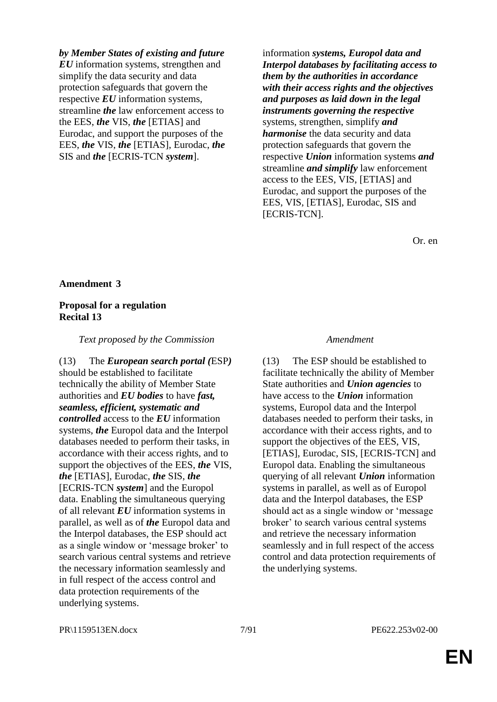### *by Member States of existing and future*

*EU* information systems, strengthen and simplify the data security and data protection safeguards that govern the respective *EU* information systems, streamline *the* law enforcement access to the EES, *the* VIS, *the* [ETIAS] and Eurodac, and support the purposes of the EES, *the* VIS, *the* [ETIAS], Eurodac, *the* SIS and *the* [ECRIS-TCN *system*].

information *systems, Europol data and Interpol databases by facilitating access to them by the authorities in accordance with their access rights and the objectives and purposes as laid down in the legal instruments governing the respective* systems, strengthen, simplify *and harmonise* the data security and data protection safeguards that govern the respective *Union* information systems *and* streamline *and simplify* law enforcement access to the EES, VIS, [ETIAS] and Eurodac, and support the purposes of the EES, VIS, [ETIAS], Eurodac, SIS and [ECRIS-TCN].

Or. en

#### **Amendment 3**

#### **Proposal for a regulation Recital 13**

*Text proposed by the Commission Amendment*

(13) The *European search portal (*ESP*)* should be established to facilitate technically the ability of Member State authorities and *EU bodies* to have *fast, seamless, efficient, systematic and controlled* access to the *EU* information systems, *the* Europol data and the Interpol databases needed to perform their tasks, in accordance with their access rights, and to support the objectives of the EES, *the* VIS, *the* [ETIAS], Eurodac, *the* SIS, *the* [ECRIS-TCN *system*] and the Europol data. Enabling the simultaneous querying of all relevant *EU* information systems in parallel, as well as of *the* Europol data and the Interpol databases, the ESP should act as a single window or 'message broker' to search various central systems and retrieve the necessary information seamlessly and in full respect of the access control and data protection requirements of the underlying systems.

(13) The ESP should be established to facilitate technically the ability of Member State authorities and *Union agencies* to have access to the *Union* information systems, Europol data and the Interpol databases needed to perform their tasks, in accordance with their access rights, and to support the objectives of the EES, VIS, [ETIAS], Eurodac, SIS, [ECRIS-TCN] and Europol data. Enabling the simultaneous querying of all relevant *Union* information systems in parallel, as well as of Europol data and the Interpol databases, the ESP should act as a single window or 'message broker' to search various central systems and retrieve the necessary information seamlessly and in full respect of the access control and data protection requirements of the underlying systems.

PR\1159513EN.docx 7/91 PE622.253v02-00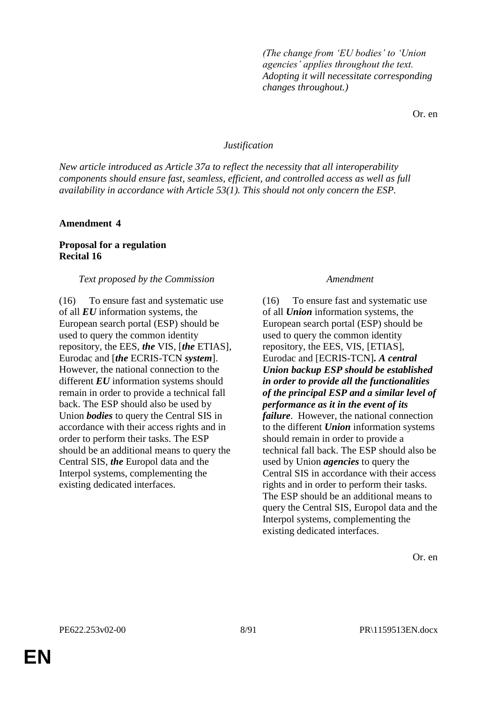*(The change from 'EU bodies' to 'Union agencies' applies throughout the text. Adopting it will necessitate corresponding changes throughout.)*

Or. en

#### *Justification*

*New article introduced as Article 37a to reflect the necessity that all interoperability components should ensure fast, seamless, efficient, and controlled access as well as full availability in accordance with Article 53(1). This should not only concern the ESP.*

#### **Amendment 4**

### **Proposal for a regulation Recital 16**

#### *Text proposed by the Commission Amendment*

(16) To ensure fast and systematic use of all *EU* information systems, the European search portal (ESP) should be used to query the common identity repository, the EES, *the* VIS, [*the* ETIAS], Eurodac and [*the* ECRIS-TCN *system*]. However, the national connection to the different *EU* information systems should remain in order to provide a technical fall back. The ESP should also be used by Union *bodies* to query the Central SIS in accordance with their access rights and in order to perform their tasks. The ESP should be an additional means to query the Central SIS, *the* Europol data and the Interpol systems, complementing the existing dedicated interfaces.

(16) To ensure fast and systematic use of all *Union* information systems, the European search portal (ESP) should be used to query the common identity repository, the EES, VIS, [ETIAS], Eurodac and [ECRIS-TCN]*. A central Union backup ESP should be established in order to provide all the functionalities of the principal ESP and a similar level of performance as it in the event of its failure*. However, the national connection to the different *Union* information systems should remain in order to provide a technical fall back. The ESP should also be used by Union *agencies* to query the Central SIS in accordance with their access rights and in order to perform their tasks. The ESP should be an additional means to query the Central SIS, Europol data and the Interpol systems, complementing the existing dedicated interfaces.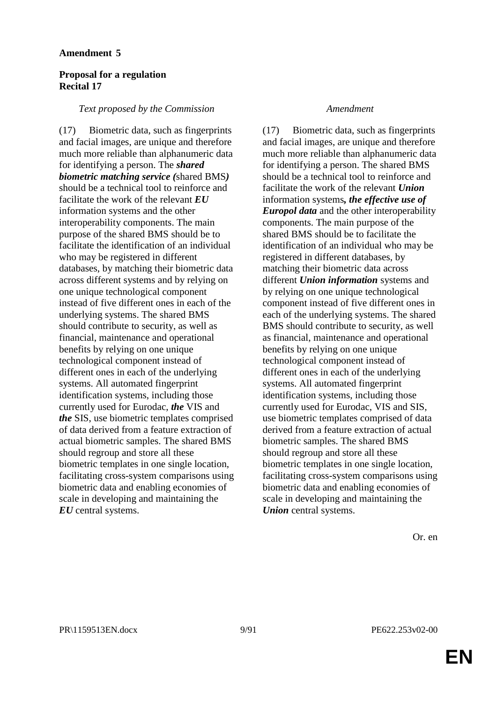### **Proposal for a regulation Recital 17**

#### *Text proposed by the Commission Amendment*

(17) Biometric data, such as fingerprints and facial images, are unique and therefore much more reliable than alphanumeric data for identifying a person. The *shared biometric matching service (*shared BMS*)* should be a technical tool to reinforce and facilitate the work of the relevant *EU* information systems and the other interoperability components. The main purpose of the shared BMS should be to facilitate the identification of an individual who may be registered in different databases, by matching their biometric data across different systems and by relying on one unique technological component instead of five different ones in each of the underlying systems. The shared BMS should contribute to security, as well as financial, maintenance and operational benefits by relying on one unique technological component instead of different ones in each of the underlying systems. All automated fingerprint identification systems, including those currently used for Eurodac, *the* VIS and *the* SIS, use biometric templates comprised of data derived from a feature extraction of actual biometric samples. The shared BMS should regroup and store all these biometric templates in one single location, facilitating cross-system comparisons using biometric data and enabling economies of scale in developing and maintaining the *EU* central systems.

(17) Biometric data, such as fingerprints and facial images, are unique and therefore much more reliable than alphanumeric data for identifying a person. The shared BMS should be a technical tool to reinforce and facilitate the work of the relevant *Union* information systems*, the effective use of Europol data* and the other interoperability components. The main purpose of the shared BMS should be to facilitate the identification of an individual who may be registered in different databases, by matching their biometric data across different *Union information* systems and by relying on one unique technological component instead of five different ones in each of the underlying systems. The shared BMS should contribute to security, as well as financial, maintenance and operational benefits by relying on one unique technological component instead of different ones in each of the underlying systems. All automated fingerprint identification systems, including those currently used for Eurodac, VIS and SIS, use biometric templates comprised of data derived from a feature extraction of actual biometric samples. The shared BMS should regroup and store all these biometric templates in one single location, facilitating cross-system comparisons using biometric data and enabling economies of scale in developing and maintaining the *Union* central systems.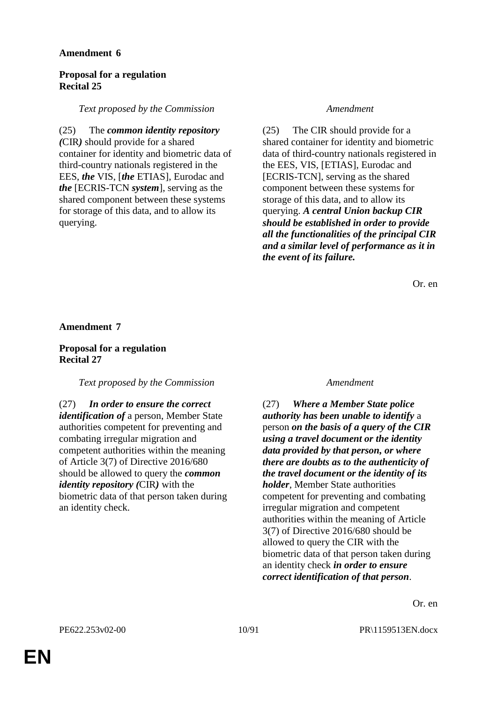#### **Proposal for a regulation Recital 25**

#### *Text proposed by the Commission Amendment*

(25) The *common identity repository (*CIR*)* should provide for a shared container for identity and biometric data of third-country nationals registered in the EES, *the* VIS, [*the* ETIAS], Eurodac and *the* [ECRIS-TCN *system*], serving as the shared component between these systems for storage of this data, and to allow its querying.

(25) The CIR should provide for a shared container for identity and biometric data of third-country nationals registered in the EES, VIS, [ETIAS], Eurodac and [ECRIS-TCN], serving as the shared component between these systems for storage of this data, and to allow its querying. *A central Union backup CIR should be established in order to provide all the functionalities of the principal CIR and a similar level of performance as it in the event of its failure.*

Or. en

#### **Amendment 7**

#### **Proposal for a regulation Recital 27**

*Text proposed by the Commission Amendment*

(27) *In order to ensure the correct identification of* a person, Member State authorities competent for preventing and combating irregular migration and competent authorities within the meaning of Article 3(7) of Directive 2016/680 should be allowed to query the *common identity repository (*CIR*)* with the biometric data of that person taken during an identity check.

(27) *Where a Member State police authority has been unable to identify* a person *on the basis of a query of the CIR using a travel document or the identity data provided by that person, or where there are doubts as to the authenticity of the travel document or the identity of its holder*, Member State authorities competent for preventing and combating irregular migration and competent authorities within the meaning of Article 3(7) of Directive 2016/680 should be allowed to query the CIR with the biometric data of that person taken during an identity check *in order to ensure correct identification of that person*.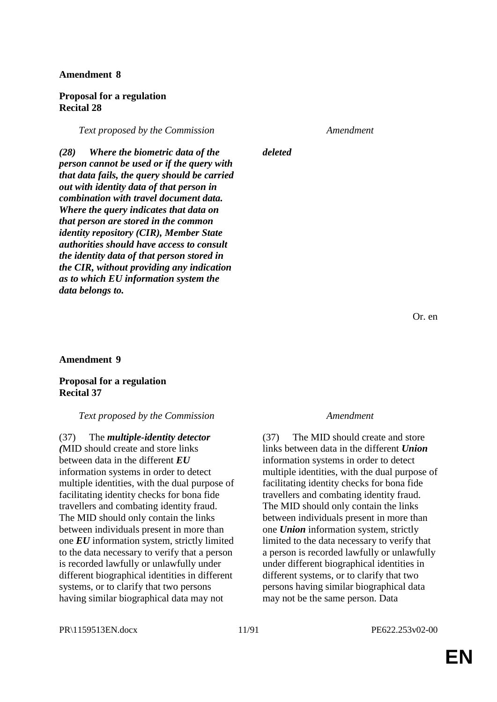#### **Proposal for a regulation Recital 28**

*Text proposed by the Commission Amendment*

*deleted*

*(28) Where the biometric data of the person cannot be used or if the query with that data fails, the query should be carried out with identity data of that person in combination with travel document data. Where the query indicates that data on that person are stored in the common identity repository (CIR), Member State authorities should have access to consult the identity data of that person stored in the CIR, without providing any indication as to which EU information system the data belongs to.*

Or. en

#### **Amendment 9**

#### **Proposal for a regulation Recital 37**

#### *Text proposed by the Commission Amendment*

### (37) The *multiple-identity detector (*MID should create and store links between data in the different *EU* information systems in order to detect multiple identities, with the dual purpose of facilitating identity checks for bona fide travellers and combating identity fraud. The MID should only contain the links between individuals present in more than one *EU* information system, strictly limited to the data necessary to verify that a person is recorded lawfully or unlawfully under different biographical identities in different systems, or to clarify that two persons having similar biographical data may not

(37) The MID should create and store links between data in the different *Union* information systems in order to detect multiple identities, with the dual purpose of facilitating identity checks for bona fide travellers and combating identity fraud. The MID should only contain the links between individuals present in more than one *Union* information system, strictly limited to the data necessary to verify that a person is recorded lawfully or unlawfully under different biographical identities in different systems, or to clarify that two persons having similar biographical data may not be the same person. Data

PR\1159513EN.docx 11/91 PE622.253v02-00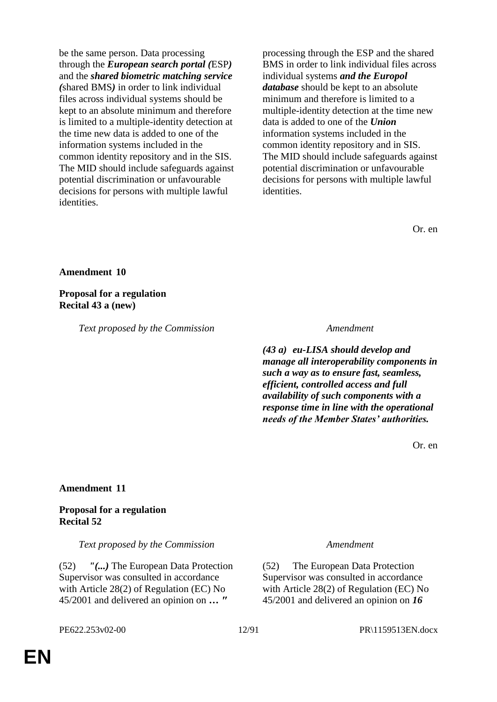be the same person. Data processing through the *European search portal (*ESP*)* and the *shared biometric matching service (*shared BMS*)* in order to link individual files across individual systems should be kept to an absolute minimum and therefore is limited to a multiple-identity detection at the time new data is added to one of the information systems included in the common identity repository and in the SIS. The MID should include safeguards against potential discrimination or unfavourable decisions for persons with multiple lawful identities.

processing through the ESP and the shared BMS in order to link individual files across individual systems *and the Europol database* should be kept to an absolute minimum and therefore is limited to a multiple-identity detection at the time new data is added to one of the *Union*  information systems included in the common identity repository and in SIS. The MID should include safeguards against potential discrimination or unfavourable decisions for persons with multiple lawful identities.

Or. en

**Amendment 10**

**Proposal for a regulation Recital 43 a (new)**

*Text proposed by the Commission Amendment*

*(43 a) eu-LISA should develop and manage all interoperability components in such a way as to ensure fast, seamless, efficient, controlled access and full availability of such components with a response time in line with the operational needs of the Member States' authorities.* 

Or. en

#### **Amendment 11**

**Proposal for a regulation Recital 52**

*Text proposed by the Commission Amendment*

(52) *"(...)* The European Data Protection Supervisor was consulted in accordance with Article 28(2) of Regulation (EC) No 45/2001 and delivered an opinion on *… "*

(52) The European Data Protection Supervisor was consulted in accordance with Article 28(2) of Regulation (EC) No 45/2001 and delivered an opinion on *16*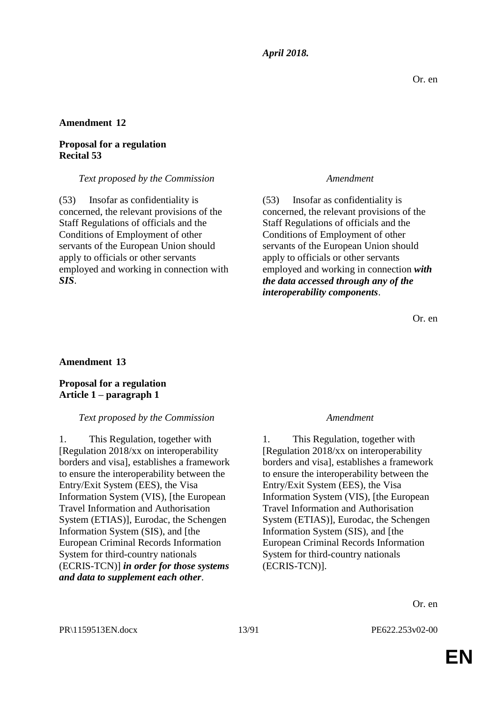### *April 2018.*

#### **Amendment 12**

#### **Proposal for a regulation Recital 53**

#### *Text proposed by the Commission Amendment*

(53) Insofar as confidentiality is concerned, the relevant provisions of the Staff Regulations of officials and the Conditions of Employment of other servants of the European Union should apply to officials or other servants employed and working in connection with *SIS*.

(53) Insofar as confidentiality is concerned, the relevant provisions of the Staff Regulations of officials and the Conditions of Employment of other servants of the European Union should apply to officials or other servants employed and working in connection *with the data accessed through any of the interoperability components*.

Or. en

#### **Amendment 13**

#### **Proposal for a regulation Article 1 – paragraph 1**

#### *Text proposed by the Commission Amendment*

1. This Regulation, together with [Regulation 2018/xx on interoperability borders and visa], establishes a framework to ensure the interoperability between the Entry/Exit System (EES), the Visa Information System (VIS), [the European Travel Information and Authorisation System (ETIAS)], Eurodac, the Schengen Information System (SIS), and [the European Criminal Records Information System for third-country nationals (ECRIS-TCN)] *in order for those systems and data to supplement each other*.

1. This Regulation, together with [Regulation 2018/xx on interoperability borders and visa], establishes a framework to ensure the interoperability between the Entry/Exit System (EES), the Visa Information System (VIS), [the European Travel Information and Authorisation System (ETIAS)], Eurodac, the Schengen Information System (SIS), and [the European Criminal Records Information System for third-country nationals (ECRIS-TCN)].

Or. en

PR\1159513EN.docx 13/91 PE622.253v02-00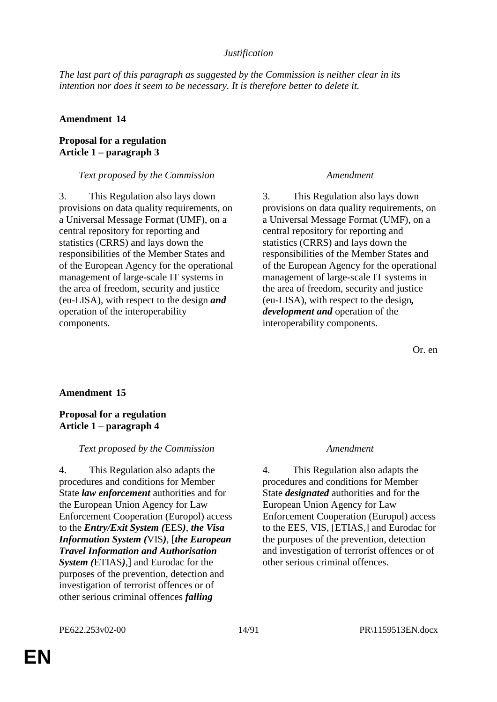### *Justification*

*The last part of this paragraph as suggested by the Commission is neither clear in its intention nor does it seem to be necessary. It is therefore better to delete it.*

#### **Amendment 14**

### **Proposal for a regulation Article 1 – paragraph 3**

#### *Text proposed by the Commission Amendment*

3. This Regulation also lays down provisions on data quality requirements, on a Universal Message Format (UMF), on a central repository for reporting and statistics (CRRS) and lays down the responsibilities of the Member States and of the European Agency for the operational management of large-scale IT systems in the area of freedom, security and justice (eu-LISA), with respect to the design *and* operation of the interoperability components.

3. This Regulation also lays down provisions on data quality requirements, on a Universal Message Format (UMF), on a central repository for reporting and statistics (CRRS) and lays down the responsibilities of the Member States and of the European Agency for the operational management of large-scale IT systems in the area of freedom, security and justice (eu-LISA), with respect to the design*, development and* operation of the interoperability components.

Or. en

### **Amendment 15**

### **Proposal for a regulation Article 1 – paragraph 4**

#### *Text proposed by the Commission Amendment*

4. This Regulation also adapts the procedures and conditions for Member State *law enforcement* authorities and for the European Union Agency for Law Enforcement Cooperation (Europol) access to the *Entry/Exit System (*EES*)*, *the Visa Information System (*VIS*)*, [*the European Travel Information and Authorisation System (*ETIAS*)*,] and Eurodac for the purposes of the prevention, detection and investigation of terrorist offences or of other serious criminal offences *falling* 

4. This Regulation also adapts the procedures and conditions for Member State *designated* authorities and for the European Union Agency for Law Enforcement Cooperation (Europol) access to the EES, VIS, [ETIAS,] and Eurodac for the purposes of the prevention, detection and investigation of terrorist offences or of other serious criminal offences.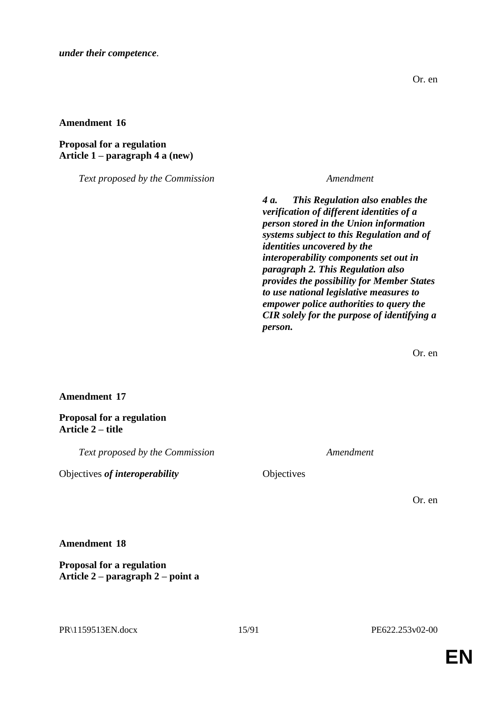**Proposal for a regulation Article 1 – paragraph 4 a (new)**

*Text proposed by the Commission Amendment*

*4 a. This Regulation also enables the verification of different identities of a person stored in the Union information systems subject to this Regulation and of identities uncovered by the interoperability components set out in paragraph 2. This Regulation also provides the possibility for Member States to use national legislative measures to empower police authorities to query the CIR solely for the purpose of identifying a person.*

Or. en

#### **Amendment 17**

**Proposal for a regulation Article 2 – title**

*Text proposed by the Commission Amendment*

Objectives *of interoperability* Objectives

Or. en

**Amendment 18**

**Proposal for a regulation Article 2 – paragraph 2 – point a**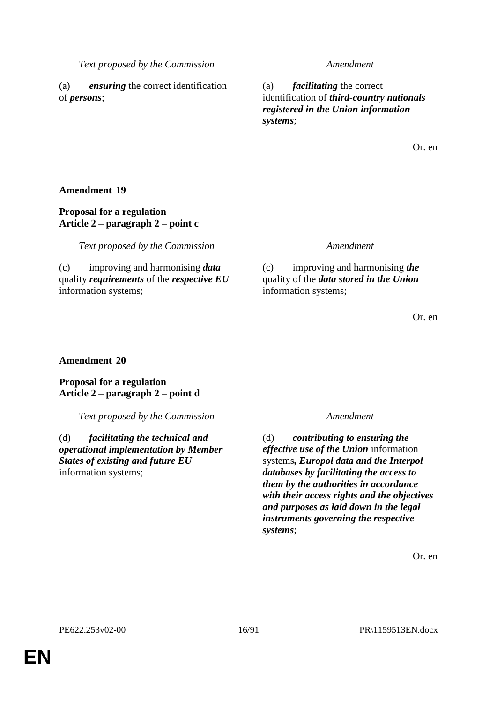#### *Text proposed by the Commission Amendment*

(a) *ensuring* the correct identification of *persons*;

(a) *facilitating* the correct identification of *third-country nationals registered in the Union information systems*;

Or. en

**Amendment 19**

### **Proposal for a regulation Article 2 – paragraph 2 – point c**

*Text proposed by the Commission Amendment*

(c) improving and harmonising *data* quality *requirements* of the *respective EU* information systems;

(c) improving and harmonising *the* quality of the *data stored in the Union* information systems;

Or. en

### **Amendment 20**

**Proposal for a regulation Article 2 – paragraph 2 – point d**

*Text proposed by the Commission Amendment*

(d) *facilitating the technical and operational implementation by Member States of existing and future EU* information systems;

(d) *contributing to ensuring the effective use of the Union* information systems*, Europol data and the Interpol databases by facilitating the access to them by the authorities in accordance with their access rights and the objectives and purposes as laid down in the legal instruments governing the respective systems*;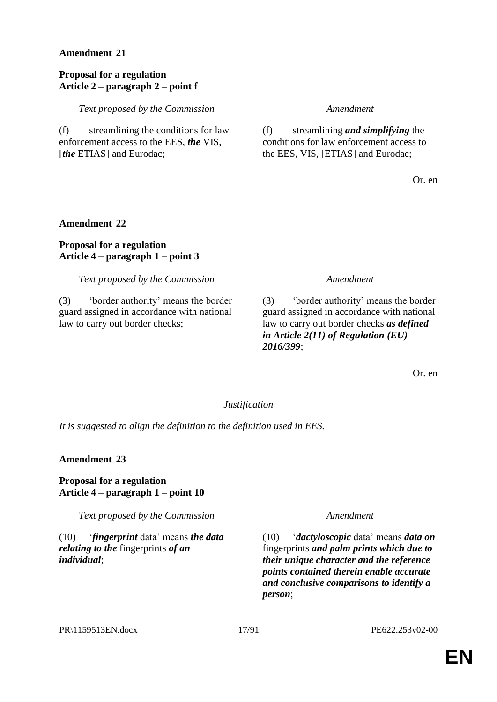#### **Proposal for a regulation Article 2 – paragraph 2 – point f**

*Text proposed by the Commission Amendment*

(f) streamlining the conditions for law enforcement access to the EES, *the* VIS, [*the* ETIAS] and Eurodac;

(f) streamlining *and simplifying* the conditions for law enforcement access to the EES, VIS, [ETIAS] and Eurodac;

Or. en

#### **Amendment 22**

#### **Proposal for a regulation Article 4 – paragraph 1 – point 3**

*Text proposed by the Commission Amendment*

(3) 'border authority' means the border guard assigned in accordance with national law to carry out border checks;

(3) 'border authority' means the border guard assigned in accordance with national law to carry out border checks *as defined in Article 2(11) of Regulation (EU) 2016/399*;

Or. en

#### *Justification*

*It is suggested to align the definition to the definition used in EES.*

#### **Amendment 23**

**Proposal for a regulation Article 4 – paragraph 1 – point 10**

*Text proposed by the Commission Amendment*

(10) '*fingerprint* data' means *the data relating to the* fingerprints *of an individual*;

(10) '*dactyloscopic* data' means *data on* fingerprints *and palm prints which due to their unique character and the reference points contained therein enable accurate and conclusive comparisons to identify a person*;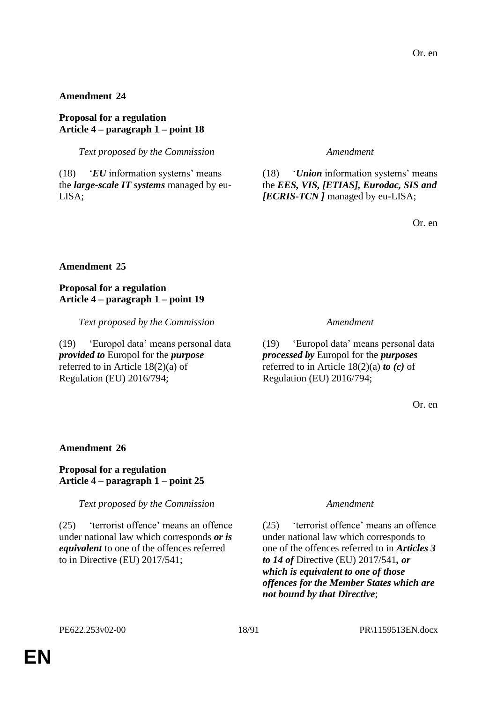**Proposal for a regulation Article 4 – paragraph 1 – point 18**

*Text proposed by the Commission Amendment*

(18) '*EU* information systems' means the *large-scale IT systems* managed by eu-LISA;

(18) '*Union* information systems' means the *EES, VIS, [ETIAS], Eurodac, SIS and [ECRIS-TCN ]* managed by eu-LISA;

Or. en

#### **Amendment 25**

**Proposal for a regulation Article 4 – paragraph 1 – point 19**

*Text proposed by the Commission Amendment*

(19) 'Europol data' means personal data *provided to* Europol for the *purpose* referred to in Article 18(2)(a) of Regulation (EU) 2016/794;

(19) 'Europol data' means personal data *processed by* Europol for the *purposes* referred to in Article 18(2)(a) *to (c)* of Regulation (EU) 2016/794;

Or. en

#### **Amendment 26**

### **Proposal for a regulation Article 4 – paragraph 1 – point 25**

*Text proposed by the Commission Amendment*

(25) 'terrorist offence' means an offence under national law which corresponds *or is equivalent* to one of the offences referred to in Directive (EU) 2017/541;

(25) 'terrorist offence' means an offence under national law which corresponds to one of the offences referred to in *Articles 3 to 14 of* Directive (EU) 2017/541*, or which is equivalent to one of those offences for the Member States which are not bound by that Directive*;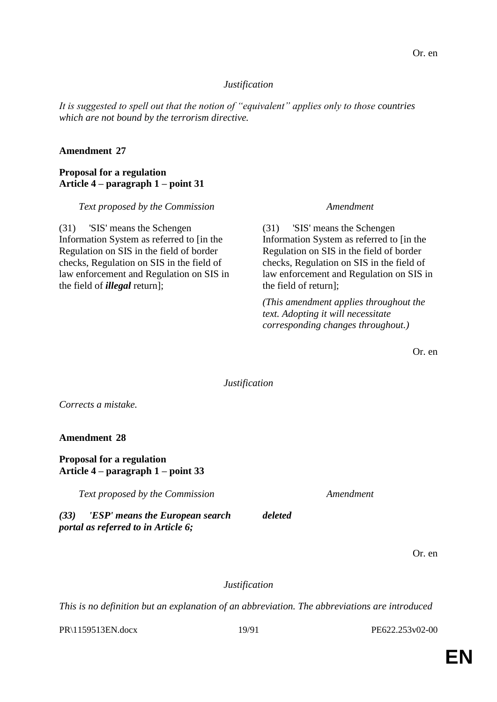### *Justification*

*It is suggested to spell out that the notion of "equivalent" applies only to those countries which are not bound by the terrorism directive.*

#### **Amendment 27**

#### **Proposal for a regulation Article 4 – paragraph 1 – point 31**

*Text proposed by the Commission Amendment*

(31) 'SIS' means the Schengen Information System as referred to [in the Regulation on SIS in the field of border checks, Regulation on SIS in the field of law enforcement and Regulation on SIS in the field of *illegal* return];

(31) 'SIS' means the Schengen Information System as referred to [in the Regulation on SIS in the field of border checks, Regulation on SIS in the field of law enforcement and Regulation on SIS in the field of return];

*(This amendment applies throughout the text. Adopting it will necessitate corresponding changes throughout.)*

Or. en

*Justification*

*Corrects a mistake.*

### **Amendment 28**

**Proposal for a regulation Article 4 – paragraph 1 – point 33**

*Text proposed by the Commission Amendment*

*(33) 'ESP' means the European search portal as referred to in Article 6;*

Or. en

*Justification*

*deleted*

*This is no definition but an explanation of an abbreviation. The abbreviations are introduced* 

PR\1159513EN.docx 19/91 PE622.253v02-00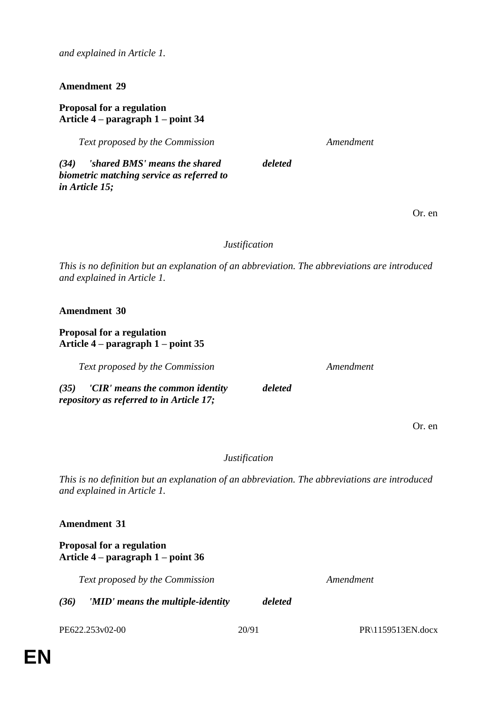*and explained in Article 1.*

**Amendment 29**

### **Proposal for a regulation Article 4 – paragraph 1 – point 34**

*Text proposed by the Commission Amendment*

*(34) 'shared BMS' means the shared biometric matching service as referred to in Article 15;*

Or. en

*Justification*

*deleted*

*This is no definition but an explanation of an abbreviation. The abbreviations are introduced and explained in Article 1.*

**Amendment 30**

**Proposal for a regulation Article 4 – paragraph 1 – point 35**

*Text proposed by the Commission Amendment*

*(35) 'CIR' means the common identity repository as referred to in Article 17;*

Or. en

*Justification*

*deleted*

*This is no definition but an explanation of an abbreviation. The abbreviations are introduced and explained in Article 1.*

**Amendment 31**

**Proposal for a regulation Article 4 – paragraph 1 – point 36**

*Text proposed by the Commission Amendment*

*(36) 'MID' means the multiple-identity deleted*

PE622.253v02-00 20/91 PR\1159513EN.docx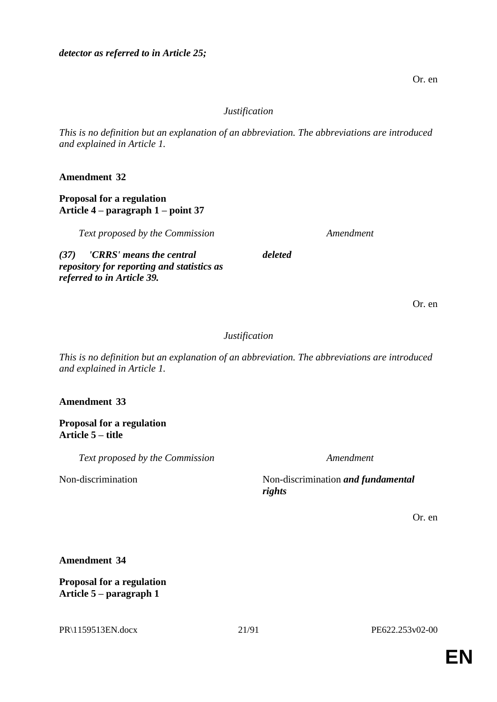### *Justification*

*This is no definition but an explanation of an abbreviation. The abbreviations are introduced and explained in Article 1.*

**Amendment 32**

### **Proposal for a regulation Article 4 – paragraph 1 – point 37**

*Text proposed by the Commission Amendment*

*(37) 'CRRS' means the central repository for reporting and statistics as referred to in Article 39.*

Or. en

### *Justification*

*deleted*

*This is no definition but an explanation of an abbreviation. The abbreviations are introduced and explained in Article 1.*

### **Amendment 33**

**Proposal for a regulation Article 5 – title**

*Text proposed by the Commission Amendment*

Non-discrimination Non-discrimination *and fundamental rights*

Or. en

#### **Amendment 34**

**Proposal for a regulation Article 5 – paragraph 1**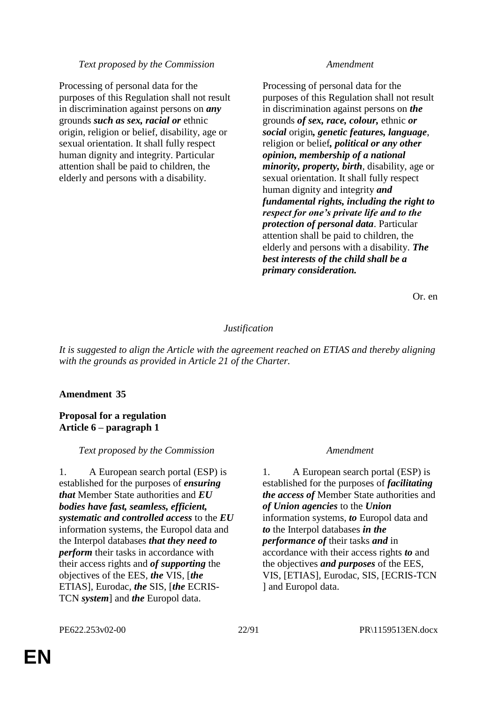#### *Text proposed by the Commission Amendment*

Processing of personal data for the purposes of this Regulation shall not result in discrimination against persons on *any* grounds *such as sex, racial or* ethnic origin, religion or belief, disability, age or sexual orientation. It shall fully respect human dignity and integrity. Particular attention shall be paid to children, the elderly and persons with a disability.

Processing of personal data for the purposes of this Regulation shall not result in discrimination against persons on *the* grounds *of sex, race, colour,* ethnic *or social* origin*, genetic features, language*, religion or belief*, political or any other opinion, membership of a national minority, property, birth*, disability, age or sexual orientation. It shall fully respect human dignity and integrity *and fundamental rights, including the right to respect for one's private life and to the protection of personal data*. Particular attention shall be paid to children, the elderly and persons with a disability. *The best interests of the child shall be a primary consideration.*

Or. en

### *Justification*

*It is suggested to align the Article with the agreement reached on ETIAS and thereby aligning with the grounds as provided in Article 21 of the Charter.*

### **Amendment 35**

### **Proposal for a regulation Article 6 – paragraph 1**

### *Text proposed by the Commission Amendment*

1. A European search portal (ESP) is established for the purposes of *ensuring that* Member State authorities and *EU bodies have fast, seamless, efficient, systematic and controlled access* to the *EU* information systems, the Europol data and the Interpol databases *that they need to perform* their tasks in accordance with their access rights and *of supporting* the objectives of the EES, *the* VIS, [*the* ETIAS], Eurodac, *the* SIS, [*the* ECRIS-TCN *system*] and *the* Europol data.

1. A European search portal (ESP) is established for the purposes of *facilitating the access of* Member State authorities and *of Union agencies* to the *Union* information systems, *to* Europol data and *to* the Interpol databases *in the performance of* their tasks *and* in accordance with their access rights *to* and the objectives *and purposes* of the EES, VIS, [ETIAS], Eurodac, SIS, [ECRIS-TCN ] and Europol data.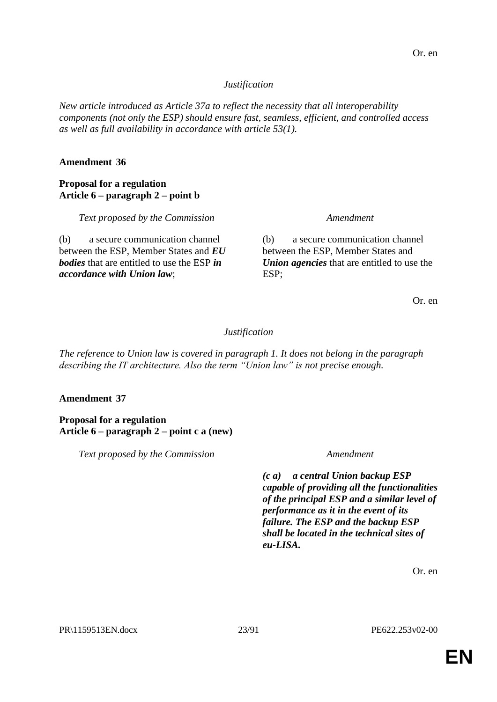### *Justification*

*New article introduced as Article 37a to reflect the necessity that all interoperability components (not only the ESP) should ensure fast, seamless, efficient, and controlled access as well as full availability in accordance with article 53(1).*

### **Amendment 36**

### **Proposal for a regulation Article 6 – paragraph 2 – point b**

*Text proposed by the Commission Amendment*

(b) a secure communication channel between the ESP, Member States and *EU bodies* that are entitled to use the ESP *in accordance with Union law*;

(b) a secure communication channel between the ESP, Member States and *Union agencies* that are entitled to use the ESP;

Or. en

### *Justification*

*The reference to Union law is covered in paragraph 1. It does not belong in the paragraph describing the IT architecture. Also the term "Union law" is not precise enough.*

### **Amendment 37**

**Proposal for a regulation Article 6 – paragraph 2 – point c a (new)**

*Text proposed by the Commission Amendment*

*(c a) a central Union backup ESP capable of providing all the functionalities of the principal ESP and a similar level of performance as it in the event of its failure. The ESP and the backup ESP shall be located in the technical sites of eu-LISA.*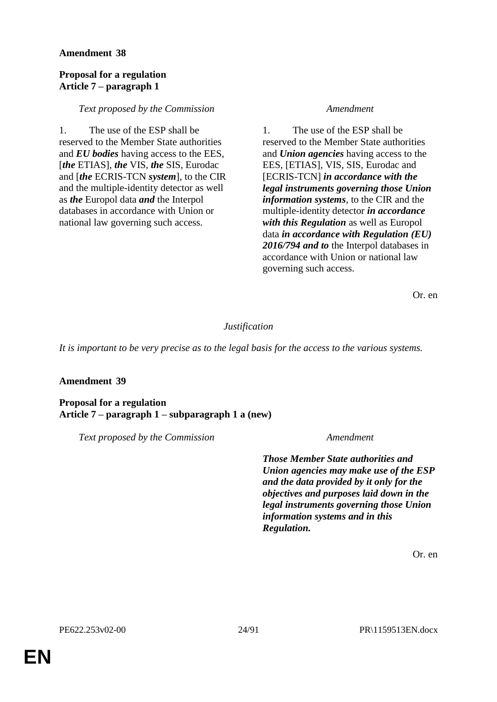#### **Proposal for a regulation Article 7 – paragraph 1**

#### *Text proposed by the Commission Amendment*

1. The use of the ESP shall be reserved to the Member State authorities and *EU bodies* having access to the EES, [*the* ETIAS], *the* VIS, *the* SIS, Eurodac and [*the* ECRIS-TCN *system*], to the CIR and the multiple-identity detector as well as *the* Europol data *and* the Interpol databases in accordance with Union or national law governing such access.

1. The use of the ESP shall be reserved to the Member State authorities and *Union agencies* having access to the EES, [ETIAS], VIS, SIS, Eurodac and [ECRIS-TCN] *in accordance with the legal instruments governing those Union information systems*, to the CIR and the multiple-identity detector *in accordance with this Regulation* as well as Europol data *in accordance with Regulation (EU) 2016/794 and to* the Interpol databases in accordance with Union or national law governing such access.

Or. en

#### *Justification*

*It is important to be very precise as to the legal basis for the access to the various systems.*

#### **Amendment 39**

**Proposal for a regulation Article 7 – paragraph 1 – subparagraph 1 a (new)**

*Text proposed by the Commission Amendment*

*Those Member State authorities and Union agencies may make use of the ESP and the data provided by it only for the objectives and purposes laid down in the legal instruments governing those Union information systems and in this Regulation.*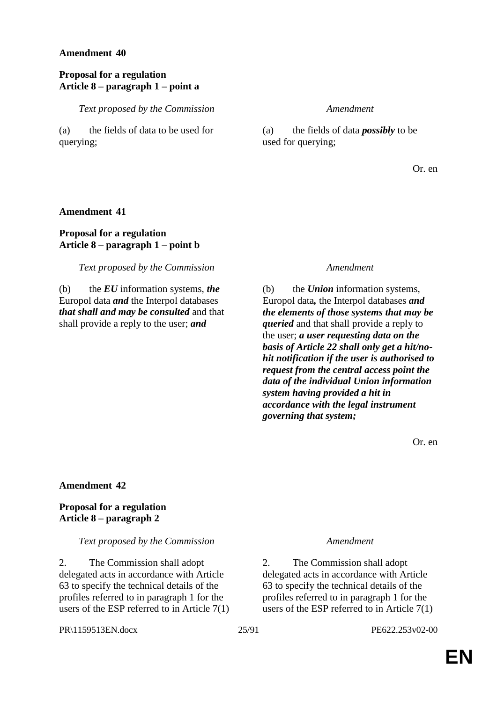#### **Proposal for a regulation Article 8 – paragraph 1 – point a**

*Text proposed by the Commission Amendment*

(a) the fields of data to be used for querying;

(a) the fields of data *possibly* to be used for querying;

Or. en

#### **Amendment 41**

#### **Proposal for a regulation Article 8 – paragraph 1 – point b**

*Text proposed by the Commission Amendment*

(b) the *EU* information systems, *the* Europol data *and* the Interpol databases *that shall and may be consulted* and that shall provide a reply to the user; *and*

(b) the *Union* information systems, Europol data*,* the Interpol databases *and the elements of those systems that may be queried* and that shall provide a reply to the user; *a user requesting data on the basis of Article 22 shall only get a hit/nohit notification if the user is authorised to request from the central access point the data of the individual Union information system having provided a hit in accordance with the legal instrument governing that system;*

Or. en

#### **Amendment 42**

#### **Proposal for a regulation Article 8 – paragraph 2**

#### *Text proposed by the Commission Amendment*

2. The Commission shall adopt delegated acts in accordance with Article 63 to specify the technical details of the profiles referred to in paragraph 1 for the users of the ESP referred to in Article 7(1)

2. The Commission shall adopt delegated acts in accordance with Article 63 to specify the technical details of the profiles referred to in paragraph 1 for the users of the ESP referred to in Article 7(1)

#### PR\1159513EN.docx 25/91 PE622.253v02-00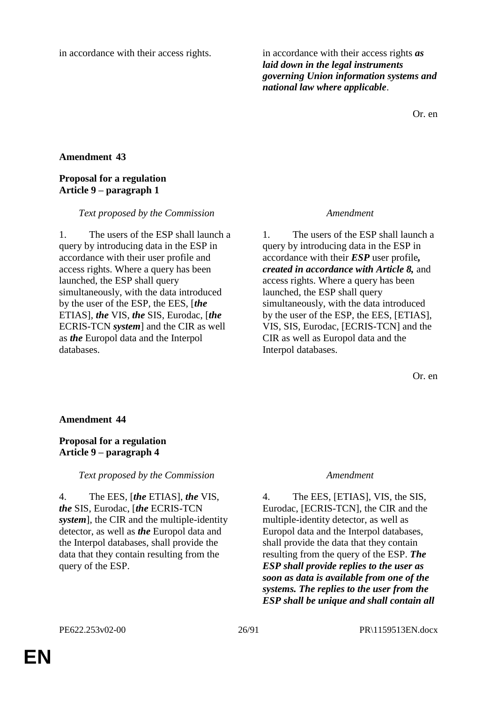in accordance with their access rights. in accordance with their access rights *as laid down in the legal instruments governing Union information systems and national law where applicable*.

Or. en

### **Amendment 43**

### **Proposal for a regulation Article 9 – paragraph 1**

#### *Text proposed by the Commission Amendment*

1. The users of the ESP shall launch a query by introducing data in the ESP in accordance with their user profile and access rights. Where a query has been launched, the ESP shall query simultaneously, with the data introduced by the user of the ESP, the EES, [*the* ETIAS], *the* VIS, *the* SIS, Eurodac, [*the* ECRIS-TCN *system*] and the CIR as well as *the* Europol data and the Interpol databases.

1. The users of the ESP shall launch a query by introducing data in the ESP in accordance with their *ESP* user profile*, created in accordance with Article 8,* and access rights. Where a query has been launched, the ESP shall query simultaneously, with the data introduced by the user of the ESP, the EES, [ETIAS], VIS, SIS, Eurodac, [ECRIS-TCN] and the CIR as well as Europol data and the Interpol databases.

Or. en

#### **Amendment 44**

#### **Proposal for a regulation Article 9 – paragraph 4**

#### *Text proposed by the Commission Amendment*

4. The EES, [*the* ETIAS], *the* VIS, *the* SIS, Eurodac, [*the* ECRIS-TCN *system*], the CIR and the multiple-identity detector, as well as *the* Europol data and the Interpol databases, shall provide the data that they contain resulting from the query of the ESP.

4. The EES, [ETIAS], VIS, the SIS, Eurodac, [ECRIS-TCN], the CIR and the multiple-identity detector, as well as Europol data and the Interpol databases, shall provide the data that they contain resulting from the query of the ESP. *The ESP shall provide replies to the user as soon as data is available from one of the systems. The replies to the user from the ESP shall be unique and shall contain all*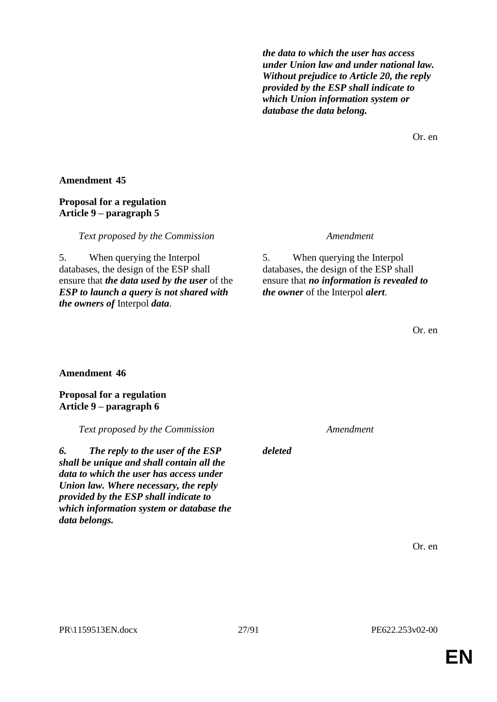*the data to which the user has access under Union law and under national law. Without prejudice to Article 20, the reply provided by the ESP shall indicate to which Union information system or database the data belong.*

Or. en

### **Amendment 45**

### **Proposal for a regulation Article 9 – paragraph 5**

*Text proposed by the Commission Amendment*

5. When querying the Interpol databases, the design of the ESP shall ensure that *the data used by the user* of the *ESP to launch a query is not shared with the owners of* Interpol *data*.

5. When querying the Interpol databases, the design of the ESP shall ensure that *no information is revealed to the owner* of the Interpol *alert*.

Or. en

### **Amendment 46**

**Proposal for a regulation Article 9 – paragraph 6**

*Text proposed by the Commission Amendment*

*6. The reply to the user of the ESP shall be unique and shall contain all the data to which the user has access under Union law. Where necessary, the reply provided by the ESP shall indicate to which information system or database the data belongs.*

*deleted*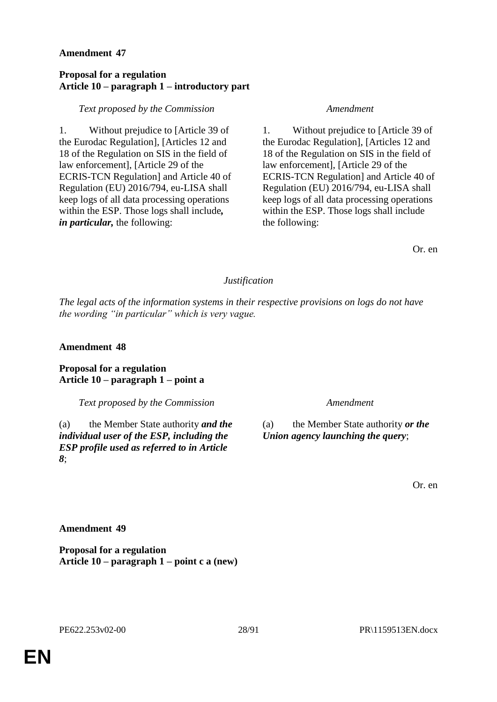#### **Proposal for a regulation Article 10 – paragraph 1 – introductory part**

#### *Text proposed by the Commission Amendment*

1. Without prejudice to [Article 39 of the Eurodac Regulation], [Articles 12 and 18 of the Regulation on SIS in the field of law enforcement], [Article 29 of the ECRIS-TCN Regulation] and Article 40 of Regulation (EU) 2016/794, eu-LISA shall keep logs of all data processing operations within the ESP. Those logs shall include*, in particular,* the following:

1. Without prejudice to [Article 39 of the Eurodac Regulation], [Articles 12 and 18 of the Regulation on SIS in the field of law enforcement], [Article 29 of the ECRIS-TCN Regulation] and Article 40 of Regulation (EU) 2016/794, eu-LISA shall keep logs of all data processing operations within the ESP. Those logs shall include the following:

Or. en

### *Justification*

*The legal acts of the information systems in their respective provisions on logs do not have the wording "in particular" which is very vague.*

### **Amendment 48**

**Proposal for a regulation Article 10 – paragraph 1 – point a**

*Text proposed by the Commission Amendment*

(a) the Member State authority *and the individual user of the ESP, including the ESP profile used as referred to in Article 8*;

(a) the Member State authority *or the Union agency launching the query*;

Or. en

**Amendment 49**

**Proposal for a regulation Article 10 – paragraph 1 – point c a (new)**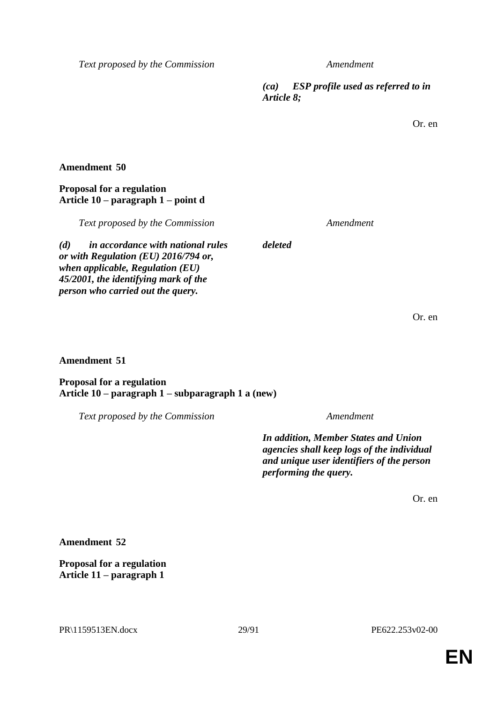*Text proposed by the Commission Amendment*

*(ca) ESP profile used as referred to in Article 8;*

Or. en

### **Amendment 50**

### **Proposal for a regulation Article 10 – paragraph 1 – point d**

*Text proposed by the Commission Amendment*

*(d) in accordance with national rules or with Regulation (EU) 2016/794 or, when applicable, Regulation (EU) 45/2001, the identifying mark of the person who carried out the query.*

*deleted*

Or. en

### **Amendment 51**

**Proposal for a regulation Article 10 – paragraph 1 – subparagraph 1 a (new)**

*Text proposed by the Commission Amendment*

*In addition, Member States and Union agencies shall keep logs of the individual and unique user identifiers of the person performing the query.*

Or. en

**Amendment 52**

**Proposal for a regulation Article 11 – paragraph 1**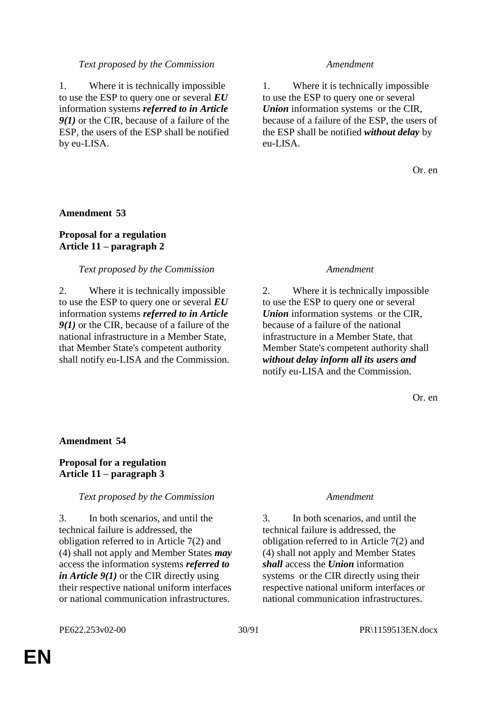#### *Text proposed by the Commission Amendment*

1. Where it is technically impossible to use the ESP to query one or several *EU* information systems *referred to in Article 9(1)* or the CIR, because of a failure of the ESP, the users of the ESP shall be notified by eu-LISA.

1. Where it is technically impossible to use the ESP to query one or several *Union* information systems or the CIR, because of a failure of the ESP, the users of the ESP shall be notified *without delay* by eu-LISA.

Or. en

### **Amendment 53**

### **Proposal for a regulation Article 11 – paragraph 2**

#### *Text proposed by the Commission Amendment*

2. Where it is technically impossible to use the ESP to query one or several *EU* information systems *referred to in Article 9(1)* or the CIR, because of a failure of the national infrastructure in a Member State, that Member State's competent authority shall notify eu-LISA and the Commission.

2. Where it is technically impossible to use the ESP to query one or several *Union* information systems or the CIR, because of a failure of the national infrastructure in a Member State, that Member State's competent authority shall *without delay inform all its users and* notify eu-LISA and the Commission.

Or. en

#### **Amendment 54**

### **Proposal for a regulation Article 11 – paragraph 3**

#### *Text proposed by the Commission Amendment*

3. In both scenarios, and until the technical failure is addressed, the obligation referred to in Article 7(2) and (4) shall not apply and Member States *may* access the information systems *referred to in Article 9(1)* or the CIR directly using their respective national uniform interfaces or national communication infrastructures.

3. In both scenarios, and until the technical failure is addressed, the obligation referred to in Article 7(2) and (4) shall not apply and Member States *shall* access the *Union* information systems or the CIR directly using their respective national uniform interfaces or national communication infrastructures.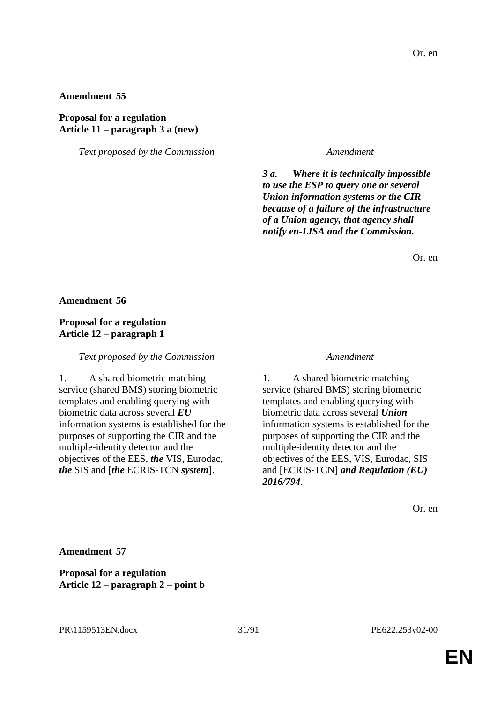#### **Proposal for a regulation Article 11 – paragraph 3 a (new)**

*Text proposed by the Commission Amendment*

*3 a. Where it is technically impossible to use the ESP to query one or several Union information systems or the CIR because of a failure of the infrastructure of a Union agency, that agency shall notify eu-LISA and the Commission.*

Or. en

#### **Amendment 56**

#### **Proposal for a regulation Article 12 – paragraph 1**

#### *Text proposed by the Commission Amendment*

1. A shared biometric matching service (shared BMS) storing biometric templates and enabling querying with biometric data across several *EU* information systems is established for the purposes of supporting the CIR and the multiple-identity detector and the objectives of the EES, *the* VIS, Eurodac, *the* SIS and [*the* ECRIS-TCN *system*].

1. A shared biometric matching service (shared BMS) storing biometric templates and enabling querying with biometric data across several *Union* information systems is established for the purposes of supporting the CIR and the multiple-identity detector and the objectives of the EES, VIS, Eurodac, SIS and [ECRIS-TCN] *and Regulation (EU) 2016/794*.

Or. en

**Amendment 57**

**Proposal for a regulation Article 12 – paragraph 2 – point b**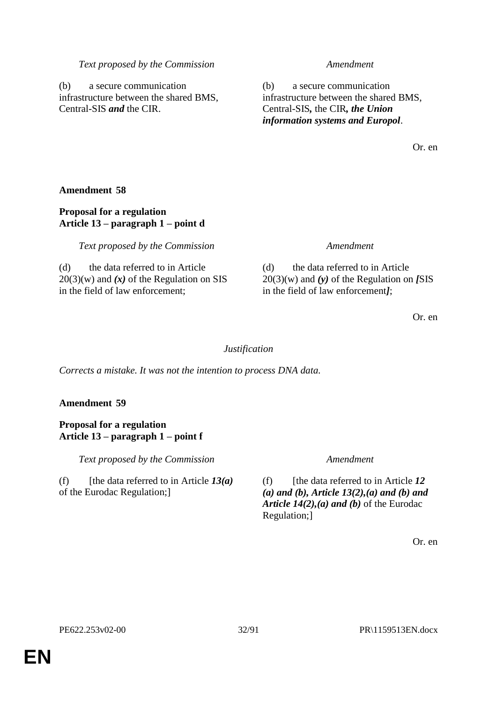### *Text proposed by the Commission Amendment*

(b) a secure communication infrastructure between the shared BMS, Central-SIS *and* the CIR.

(b) a secure communication infrastructure between the shared BMS, Central-SIS*,* the CIR*, the Union information systems and Europol*.

Or. en

### **Amendment 58**

### **Proposal for a regulation Article 13 – paragraph 1 – point d**

*Text proposed by the Commission Amendment*

(d) the data referred to in Article  $20(3)(w)$  and  $(x)$  of the Regulation on SIS in the field of law enforcement;

(d) the data referred to in Article 20(3)(w) and *(y)* of the Regulation on *[*SIS in the field of law enforcement*]*;

Or. en

### *Justification*

*Corrects a mistake. It was not the intention to process DNA data.*

### **Amendment 59**

**Proposal for a regulation Article 13 – paragraph 1 – point f**

*Text proposed by the Commission Amendment*

(f) [the data referred to in Article  $13(a)$ of the Eurodac Regulation;]

(f) [the data referred to in Article *12 (a) and (b), Article 13(2),(a) and (b) and Article 14(2),(a) and (b)* of the Eurodac Regulation;]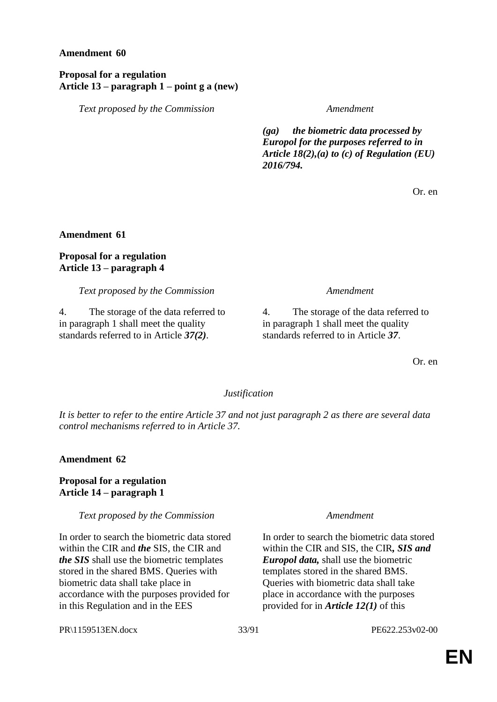#### **Proposal for a regulation Article 13 – paragraph 1 – point g a (new)**

*Text proposed by the Commission Amendment*

*(ga) the biometric data processed by Europol for the purposes referred to in Article 18(2),(a) to (c) of Regulation (EU) 2016/794.*

Or. en

**Amendment 61**

### **Proposal for a regulation Article 13 – paragraph 4**

*Text proposed by the Commission Amendment*

4. The storage of the data referred to in paragraph 1 shall meet the quality standards referred to in Article *37(2)*.

4. The storage of the data referred to in paragraph 1 shall meet the quality standards referred to in Article *37*.

Or. en

### *Justification*

*It is better to refer to the entire Article 37 and not just paragraph 2 as there are several data control mechanisms referred to in Article 37.*

### **Amendment 62**

**Proposal for a regulation Article 14 – paragraph 1**

*Text proposed by the Commission Amendment*

In order to search the biometric data stored within the CIR and *the* SIS, the CIR and *the SIS* shall use the biometric templates stored in the shared BMS. Queries with biometric data shall take place in accordance with the purposes provided for in this Regulation and in the EES

In order to search the biometric data stored within the CIR and SIS, the CIR*, SIS and Europol data,* shall use the biometric templates stored in the shared BMS. Queries with biometric data shall take place in accordance with the purposes provided for in *Article 12(1)* of this

PR\1159513EN.docx 33/91 PE622.253v02-00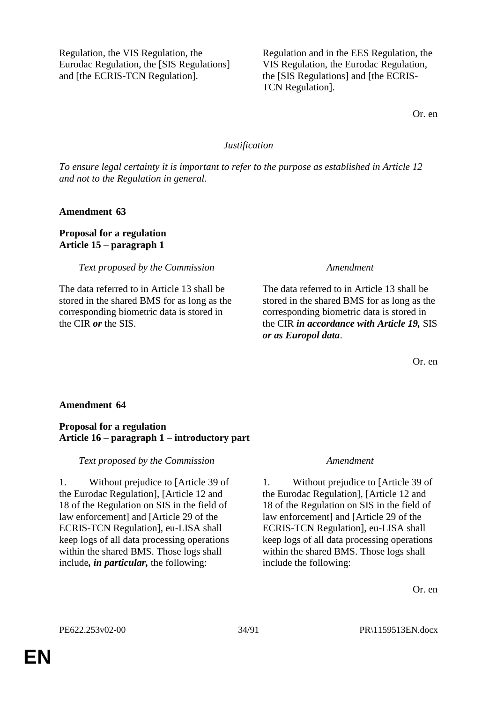Regulation, the VIS Regulation, the Eurodac Regulation, the [SIS Regulations] and [the ECRIS-TCN Regulation].

Regulation and in the EES Regulation, the VIS Regulation, the Eurodac Regulation, the [SIS Regulations] and [the ECRIS-TCN Regulation].

Or. en

### *Justification*

*To ensure legal certainty it is important to refer to the purpose as established in Article 12 and not to the Regulation in general.*

**Amendment 63**

### **Proposal for a regulation Article 15 – paragraph 1**

*Text proposed by the Commission Amendment*

The data referred to in Article 13 shall be stored in the shared BMS for as long as the corresponding biometric data is stored in the CIR *or* the SIS.

The data referred to in Article 13 shall be stored in the shared BMS for as long as the corresponding biometric data is stored in the CIR *in accordance with Article 19,* SIS *or as Europol data*.

Or. en

### **Amendment 64**

### **Proposal for a regulation Article 16 – paragraph 1 – introductory part**

*Text proposed by the Commission Amendment*

1. Without prejudice to [Article 39 of the Eurodac Regulation], [Article 12 and 18 of the Regulation on SIS in the field of law enforcement] and [Article 29 of the ECRIS-TCN Regulation], eu-LISA shall keep logs of all data processing operations within the shared BMS. Those logs shall include*, in particular,* the following:

1. Without prejudice to [Article 39 of the Eurodac Regulation], [Article 12 and 18 of the Regulation on SIS in the field of law enforcement] and [Article 29 of the ECRIS-TCN Regulation], eu-LISA shall keep logs of all data processing operations within the shared BMS. Those logs shall include the following: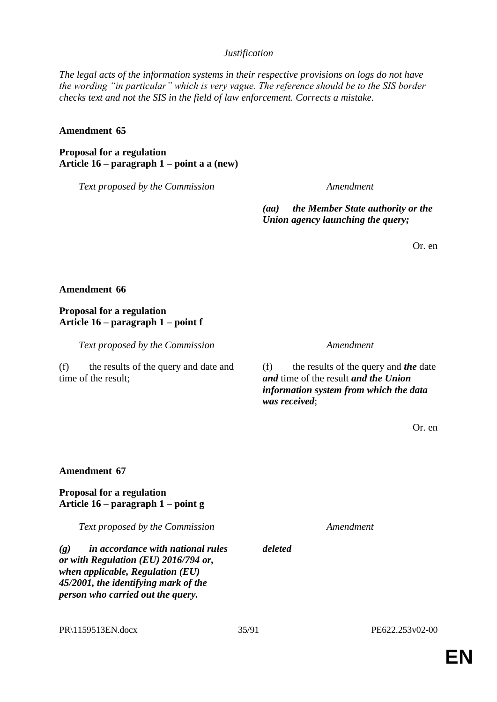#### *Justification*

*The legal acts of the information systems in their respective provisions on logs do not have the wording "in particular" which is very vague. The reference should be to the SIS border checks text and not the SIS in the field of law enforcement. Corrects a mistake.*

#### **Amendment 65**

**Proposal for a regulation Article 16 – paragraph 1 – point a a (new)**

*Text proposed by the Commission Amendment*

*(aa) the Member State authority or the Union agency launching the query;*

Or. en

### **Amendment 66**

#### **Proposal for a regulation Article 16 – paragraph 1 – point f**

*Text proposed by the Commission Amendment*

(f) the results of the query and date and time of the result;

(f) the results of the query and *the* date *and* time of the result *and the Union information system from which the data was received*;

Or. en

### **Amendment 67**

### **Proposal for a regulation Article 16 – paragraph 1 – point g**

*Text proposed by the Commission Amendment*

*(g) in accordance with national rules or with Regulation (EU) 2016/794 or, when applicable, Regulation (EU) 45/2001, the identifying mark of the person who carried out the query.*

*deleted*

PR\1159513EN.docx 35/91 PE622.253v02-00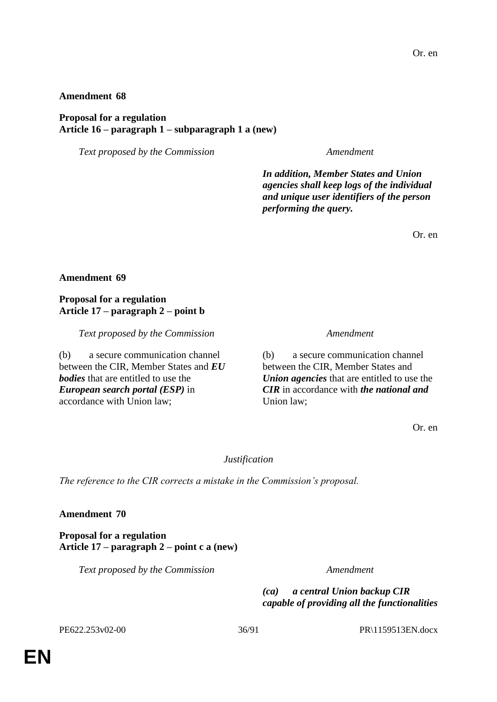### **Proposal for a regulation Article 16 – paragraph 1 – subparagraph 1 a (new)**

*Text proposed by the Commission Amendment*

*In addition, Member States and Union agencies shall keep logs of the individual and unique user identifiers of the person performing the query.*

Or. en

#### **Amendment 69**

### **Proposal for a regulation Article 17 – paragraph 2 – point b**

*Text proposed by the Commission Amendment*

(b) a secure communication channel between the CIR, Member States and *EU bodies* that are entitled to use the *European search portal (ESP)* in accordance with Union law;

(b) a secure communication channel between the CIR, Member States and *Union agencies* that are entitled to use the *CIR* in accordance with *the national and* Union law;

Or. en

*Justification*

*The reference to the CIR corrects a mistake in the Commission's proposal.*

#### **Amendment 70**

**Proposal for a regulation Article 17 – paragraph 2 – point c a (new)**

*Text proposed by the Commission Amendment*

*(ca) a central Union backup CIR capable of providing all the functionalities* 

PE622.253v02-00 36/91 PR\1159513EN.docx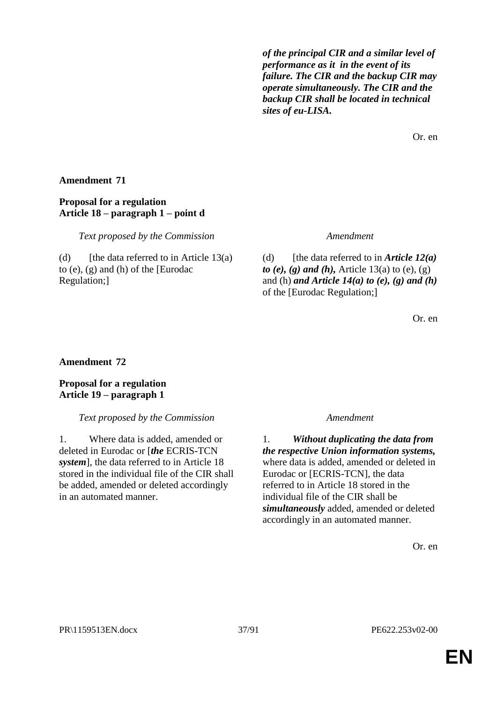*of the principal CIR and a similar level of performance as it in the event of its failure. The CIR and the backup CIR may operate simultaneously. The CIR and the backup CIR shall be located in technical sites of eu-LISA.*

Or. en

## **Amendment 71**

## **Proposal for a regulation Article 18 – paragraph 1 – point d**

*Text proposed by the Commission Amendment*

(d) [the data referred to in Article  $13(a)$ to (e), (g) and (h) of the [Eurodac Regulation;]

(d) [the data referred to in *Article 12(a) to (e), (g) and (h),* Article 13(a) to (e), (g) and (h) *and Article 14(a) to (e), (g) and (h)* of the [Eurodac Regulation;]

Or. en

## **Amendment 72**

**Proposal for a regulation Article 19 – paragraph 1**

## *Text proposed by the Commission Amendment*

1. Where data is added, amended or deleted in Eurodac or [*the* ECRIS-TCN *system*], the data referred to in Article 18 stored in the individual file of the CIR shall be added, amended or deleted accordingly in an automated manner.

1. *Without duplicating the data from the respective Union information systems,* where data is added, amended or deleted in Eurodac or [ECRIS-TCN], the data referred to in Article 18 stored in the individual file of the CIR shall be *simultaneously* added, amended or deleted accordingly in an automated manner.

Or. en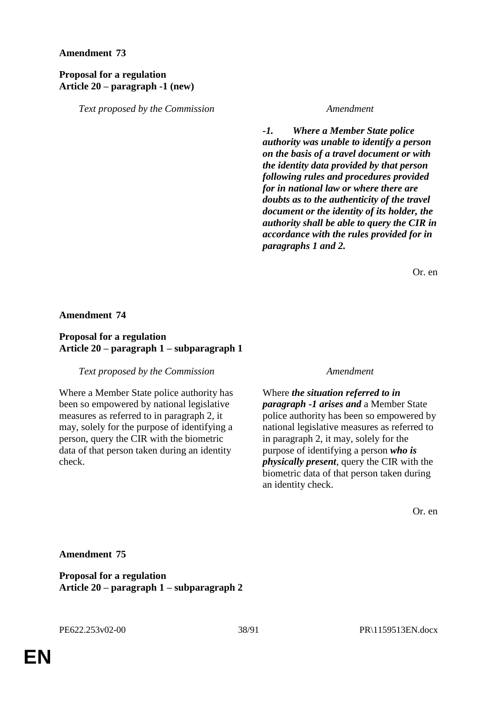## **Proposal for a regulation Article 20 – paragraph -1 (new)**

*Text proposed by the Commission Amendment*

*-1. Where a Member State police authority was unable to identify a person on the basis of a travel document or with the identity data provided by that person following rules and procedures provided for in national law or where there are doubts as to the authenticity of the travel document or the identity of its holder, the authority shall be able to query the CIR in accordance with the rules provided for in paragraphs 1 and 2.*

Or. en

## **Amendment 74**

## **Proposal for a regulation Article 20 – paragraph 1 – subparagraph 1**

## *Text proposed by the Commission Amendment*

Where a Member State police authority has been so empowered by national legislative measures as referred to in paragraph 2, it may, solely for the purpose of identifying a person, query the CIR with the biometric data of that person taken during an identity check.

Where *the situation referred to in paragraph -1 arises and* a Member State police authority has been so empowered by national legislative measures as referred to in paragraph 2, it may, solely for the purpose of identifying a person *who is physically present*, query the CIR with the biometric data of that person taken during an identity check.

Or. en

**Amendment 75**

**Proposal for a regulation Article 20 – paragraph 1 – subparagraph 2**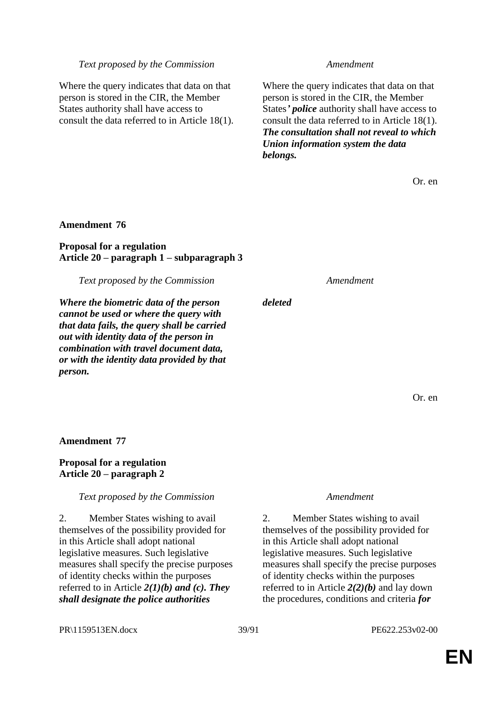Where the query indicates that data on that person is stored in the CIR, the Member States authority shall have access to consult the data referred to in Article 18(1).

Where the query indicates that data on that person is stored in the CIR, the Member States*' police* authority shall have access to consult the data referred to in Article 18(1). *The consultation shall not reveal to which Union information system the data belongs.*

Or. en

## **Amendment 76**

## **Proposal for a regulation Article 20 – paragraph 1 – subparagraph 3**

*Text proposed by the Commission Amendment*

*Where the biometric data of the person cannot be used or where the query with that data fails, the query shall be carried out with identity data of the person in combination with travel document data, or with the identity data provided by that person.*

*deleted*

Or. en

**Amendment 77**

## **Proposal for a regulation Article 20 – paragraph 2**

## *Text proposed by the Commission Amendment*

2. Member States wishing to avail themselves of the possibility provided for in this Article shall adopt national legislative measures. Such legislative measures shall specify the precise purposes of identity checks within the purposes referred to in Article *2(1)(b) and (c). They shall designate the police authorities* 

2. Member States wishing to avail themselves of the possibility provided for in this Article shall adopt national legislative measures. Such legislative measures shall specify the precise purposes of identity checks within the purposes referred to in Article *2(2)(b)* and lay down the procedures, conditions and criteria *for*

PR\1159513EN.docx 39/91 PE622.253v02-00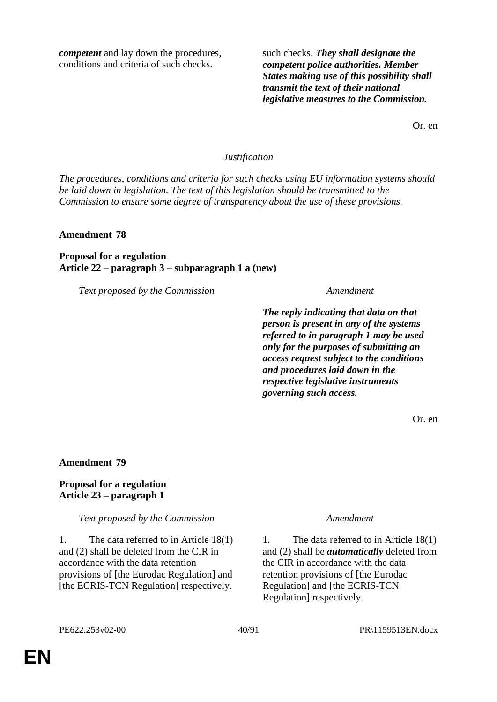*competent* and lay down the procedures, conditions and criteria of such checks.

such checks. *They shall designate the competent police authorities. Member States making use of this possibility shall transmit the text of their national legislative measures to the Commission.*

Or. en

## *Justification*

*The procedures, conditions and criteria for such checks using EU information systems should be laid down in legislation. The text of this legislation should be transmitted to the Commission to ensure some degree of transparency about the use of these provisions.*

## **Amendment 78**

## **Proposal for a regulation Article 22 – paragraph 3 – subparagraph 1 a (new)**

*Text proposed by the Commission Amendment*

*The reply indicating that data on that person is present in any of the systems referred to in paragraph 1 may be used only for the purposes of submitting an access request subject to the conditions and procedures laid down in the respective legislative instruments governing such access.*

Or. en

**Amendment 79**

## **Proposal for a regulation Article 23 – paragraph 1**

*Text proposed by the Commission Amendment*

1. The data referred to in Article 18(1) and (2) shall be deleted from the CIR in accordance with the data retention provisions of [the Eurodac Regulation] and [the ECRIS-TCN Regulation] respectively.

1. The data referred to in Article 18(1) and (2) shall be *automatically* deleted from the CIR in accordance with the data retention provisions of [the Eurodac Regulation] and [the ECRIS-TCN Regulation] respectively.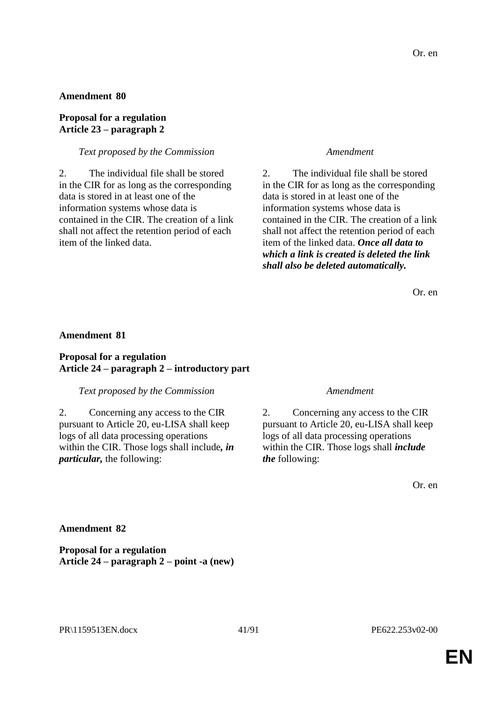### **Proposal for a regulation Article 23 – paragraph 2**

### *Text proposed by the Commission Amendment*

2. The individual file shall be stored in the CIR for as long as the corresponding data is stored in at least one of the information systems whose data is contained in the CIR. The creation of a link shall not affect the retention period of each item of the linked data.

2. The individual file shall be stored in the CIR for as long as the corresponding data is stored in at least one of the information systems whose data is contained in the CIR. The creation of a link shall not affect the retention period of each item of the linked data. *Once all data to which a link is created is deleted the link shall also be deleted automatically.*

Or. en

### **Amendment 81**

## **Proposal for a regulation Article 24 – paragraph 2 – introductory part**

*Text proposed by the Commission Amendment*

2. Concerning any access to the CIR pursuant to Article 20, eu-LISA shall keep logs of all data processing operations within the CIR. Those logs shall include*, in particular,* the following:

2. Concerning any access to the CIR pursuant to Article 20, eu-LISA shall keep logs of all data processing operations within the CIR. Those logs shall *include the* following:

Or. en

**Amendment 82**

**Proposal for a regulation Article 24 – paragraph 2 – point -a (new)**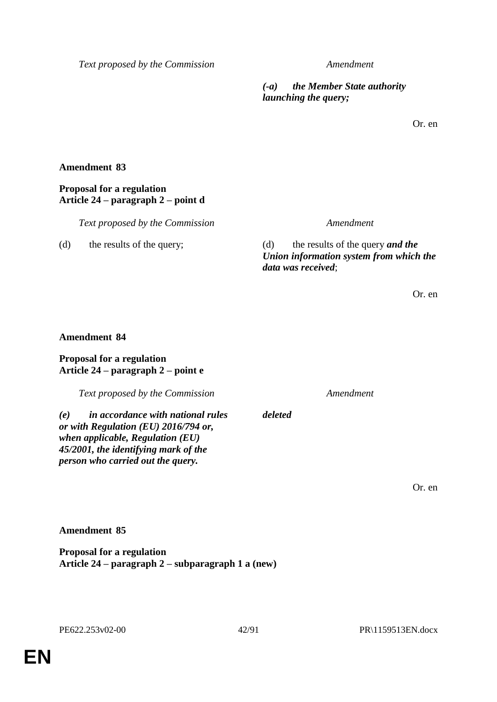*(-a) the Member State authority launching the query;*

Or. en

## **Amendment 83**

## **Proposal for a regulation Article 24 – paragraph 2 – point d**

*Text proposed by the Commission Amendment*

(d) the results of the query; (d) the results of the query *and the Union information system from which the data was received*;

Or. en

## **Amendment 84**

## **Proposal for a regulation Article 24 – paragraph 2 – point e**

*Text proposed by the Commission Amendment*

*deleted*

*(e) in accordance with national rules or with Regulation (EU) 2016/794 or, when applicable, Regulation (EU) 45/2001, the identifying mark of the person who carried out the query.*

Or. en

## **Amendment 85**

**Proposal for a regulation Article 24 – paragraph 2 – subparagraph 1 a (new)**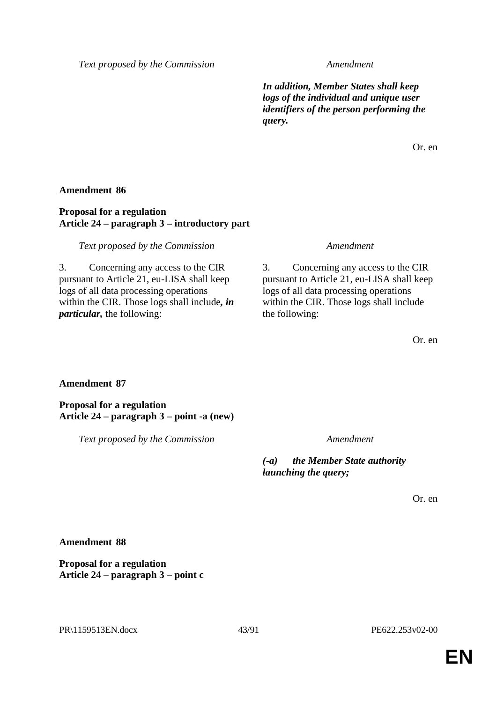*In addition, Member States shall keep logs of the individual and unique user identifiers of the person performing the query.*

Or. en

## **Amendment 86**

## **Proposal for a regulation Article 24 – paragraph 3 – introductory part**

*Text proposed by the Commission Amendment*

3. Concerning any access to the CIR pursuant to Article 21, eu-LISA shall keep logs of all data processing operations within the CIR. Those logs shall include*, in particular,* the following:

3. Concerning any access to the CIR pursuant to Article 21, eu-LISA shall keep logs of all data processing operations within the CIR. Those logs shall include the following:

Or. en

## **Amendment 87**

**Proposal for a regulation Article 24 – paragraph 3 – point -a (new)**

*Text proposed by the Commission Amendment*

*(-a) the Member State authority launching the query;*

Or. en

**Amendment 88**

**Proposal for a regulation Article 24 – paragraph 3 – point c**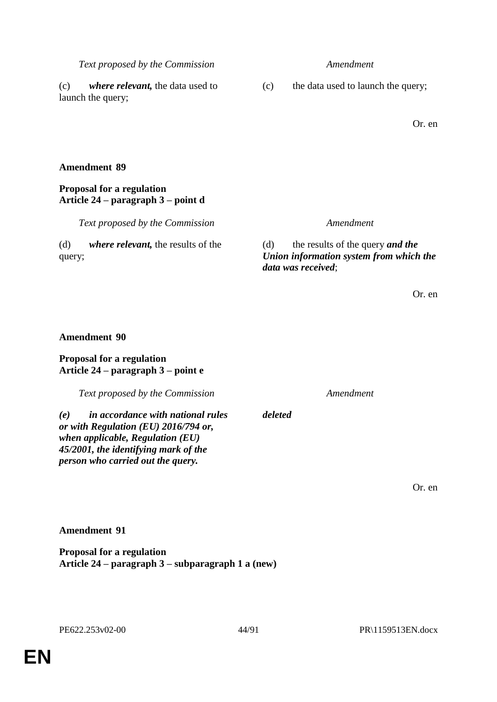(c) *where relevant,* the data used to launch the query;

## **Amendment 89**

## **Proposal for a regulation Article 24 – paragraph 3 – point d**

*Text proposed by the Commission Amendment*

(d) *where relevant,* the results of the query;

(d) the results of the query *and the Union information system from which the data was received*;

Or. en

## **Amendment 90**

## **Proposal for a regulation Article 24 – paragraph 3 – point e**

*Text proposed by the Commission Amendment*

*(e) in accordance with national rules or with Regulation (EU) 2016/794 or, when applicable, Regulation (EU) 45/2001, the identifying mark of the person who carried out the query.*

## **Amendment 91**

**Proposal for a regulation Article 24 – paragraph 3 – subparagraph 1 a (new)**

PE622.253v02-00 44/91 PR\1159513EN.docx

# (c) the data used to launch the query;

Or. en

*deleted*

Or. en

**EN**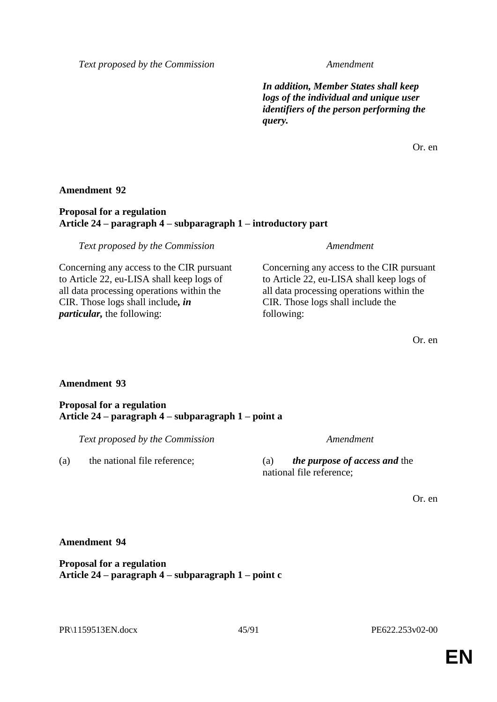*In addition, Member States shall keep logs of the individual and unique user identifiers of the person performing the query.*

Or. en

## **Amendment 92**

## **Proposal for a regulation Article 24 – paragraph 4 – subparagraph 1 – introductory part**

*Text proposed by the Commission Amendment*

Concerning any access to the CIR pursuant to Article 22, eu-LISA shall keep logs of all data processing operations within the CIR. Those logs shall include*, in particular,* the following:

Concerning any access to the CIR pursuant to Article 22, eu-LISA shall keep logs of all data processing operations within the CIR. Those logs shall include the following:

Or. en

## **Amendment 93**

## **Proposal for a regulation Article 24 – paragraph 4 – subparagraph 1 – point a**

*Text proposed by the Commission Amendment*

(a) the national file reference; (a) *the purpose of access and* the national file reference;

Or. en

## **Amendment 94**

## **Proposal for a regulation Article 24 – paragraph 4 – subparagraph 1 – point c**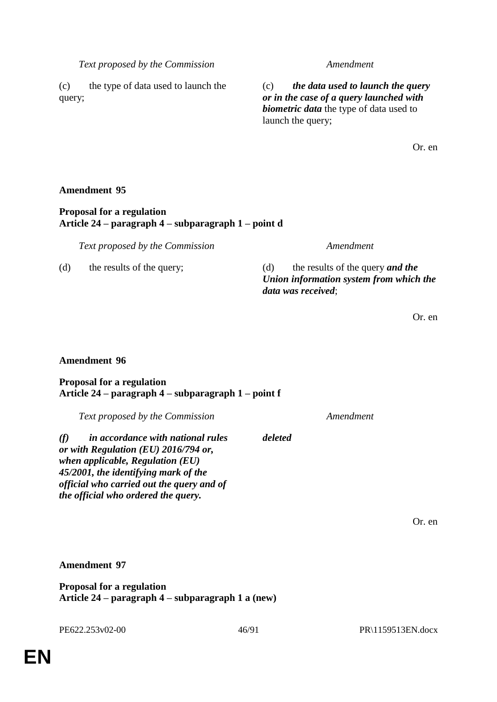(c) the type of data used to launch the query;

(c) *the data used to launch the query or in the case of a query launched with biometric data* the type of data used to launch the query;

Or. en

## **Amendment 95**

## **Proposal for a regulation Article 24 – paragraph 4 – subparagraph 1 – point d**

*Text proposed by the Commission Amendment*

(d) the results of the query; (d) the results of the query *and the Union information system from which the data was received*;

Or. en

## **Amendment 96**

## **Proposal for a regulation Article 24 – paragraph 4 – subparagraph 1 – point f**

*Text proposed by the Commission Amendment*

*(f) in accordance with national rules or with Regulation (EU) 2016/794 or, when applicable, Regulation (EU) 45/2001, the identifying mark of the official who carried out the query and of the official who ordered the query. deleted*

Or. en

**Amendment 97**

**Proposal for a regulation Article 24 – paragraph 4 – subparagraph 1 a (new)**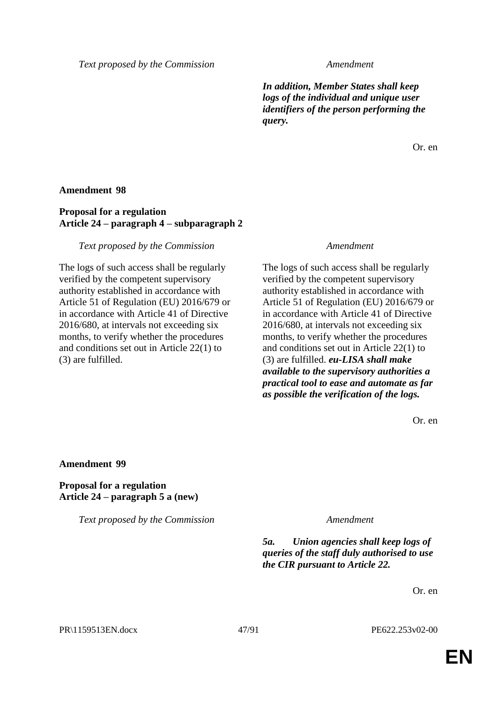*In addition, Member States shall keep logs of the individual and unique user identifiers of the person performing the query.*

Or. en

## **Amendment 98**

## **Proposal for a regulation Article 24 – paragraph 4 – subparagraph 2**

### *Text proposed by the Commission Amendment*

The logs of such access shall be regularly verified by the competent supervisory authority established in accordance with Article 51 of Regulation (EU) 2016/679 or in accordance with Article 41 of Directive 2016/680, at intervals not exceeding six months, to verify whether the procedures and conditions set out in Article 22(1) to (3) are fulfilled.

The logs of such access shall be regularly verified by the competent supervisory authority established in accordance with Article 51 of Regulation (EU) 2016/679 or in accordance with Article 41 of Directive 2016/680, at intervals not exceeding six months, to verify whether the procedures and conditions set out in Article 22(1) to (3) are fulfilled. *eu-LISA shall make available to the supervisory authorities a practical tool to ease and automate as far as possible the verification of the logs.*

Or. en

## **Amendment 99**

**Proposal for a regulation Article 24 – paragraph 5 a (new)**

*Text proposed by the Commission Amendment*

*5a. Union agencies shall keep logs of queries of the staff duly authorised to use the CIR pursuant to Article 22.*

Or. en

PR\1159513EN.docx 47/91 PE622.253v02-00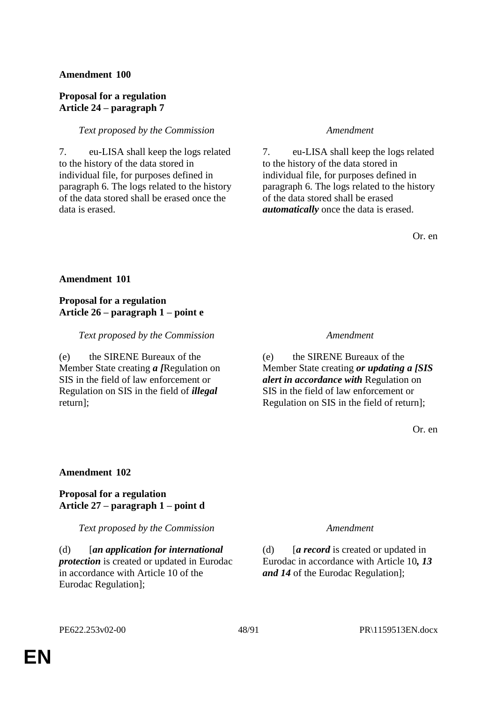## **Proposal for a regulation Article 24 – paragraph 7**

## *Text proposed by the Commission Amendment*

7. eu-LISA shall keep the logs related to the history of the data stored in individual file, for purposes defined in paragraph 6. The logs related to the history of the data stored shall be erased once the data is erased.

7. eu-LISA shall keep the logs related to the history of the data stored in individual file, for purposes defined in paragraph 6. The logs related to the history of the data stored shall be erased *automatically* once the data is erased.

Or. en

## **Amendment 101**

## **Proposal for a regulation Article 26 – paragraph 1 – point e**

## *Text proposed by the Commission Amendment*

(e) the SIRENE Bureaux of the Member State creating *a [*Regulation on SIS in the field of law enforcement or Regulation on SIS in the field of *illegal* return];

(e) the SIRENE Bureaux of the Member State creating *or updating a [SIS alert in accordance with* Regulation on SIS in the field of law enforcement or Regulation on SIS in the field of return];

Or. en

## **Amendment 102**

## **Proposal for a regulation Article 27 – paragraph 1 – point d**

## *Text proposed by the Commission Amendment*

(d) [*an application for international protection* is created or updated in Eurodac in accordance with Article 10 of the Eurodac Regulation];

(d) [*a record* is created or updated in Eurodac in accordance with Article 10*, 13 and 14* of the Eurodac Regulation];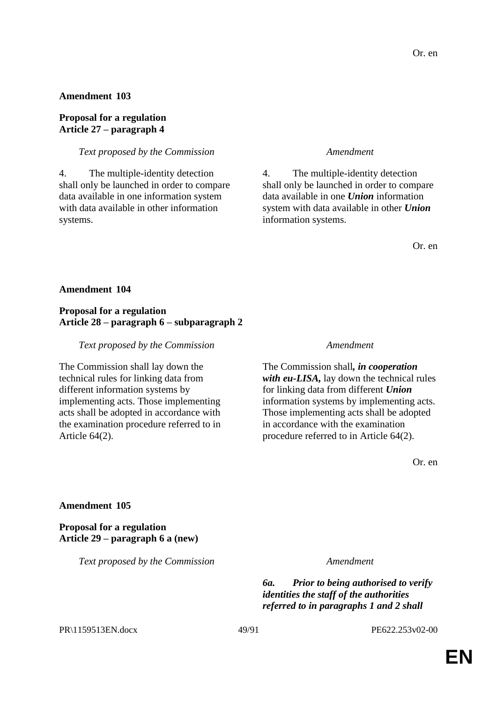## **Proposal for a regulation Article 27 – paragraph 4**

### *Text proposed by the Commission Amendment*

4. The multiple-identity detection shall only be launched in order to compare data available in one information system with data available in other information systems.

4. The multiple-identity detection shall only be launched in order to compare data available in one *Union* information system with data available in other *Union* information systems.

Or. en

## **Amendment 104**

## **Proposal for a regulation Article 28 – paragraph 6 – subparagraph 2**

*Text proposed by the Commission Amendment*

The Commission shall lay down the technical rules for linking data from different information systems by implementing acts. Those implementing acts shall be adopted in accordance with the examination procedure referred to in Article 64(2).

The Commission shall*, in cooperation with eu-LISA,* lay down the technical rules for linking data from different *Union*  information systems by implementing acts. Those implementing acts shall be adopted in accordance with the examination procedure referred to in Article 64(2).

Or. en

### **Amendment 105**

## **Proposal for a regulation Article 29 – paragraph 6 a (new)**

*Text proposed by the Commission Amendment*

*6a. Prior to being authorised to verify identities the staff of the authorities referred to in paragraphs 1 and 2 shall* 

PR\1159513EN.docx 49/91 PE622.253v02-00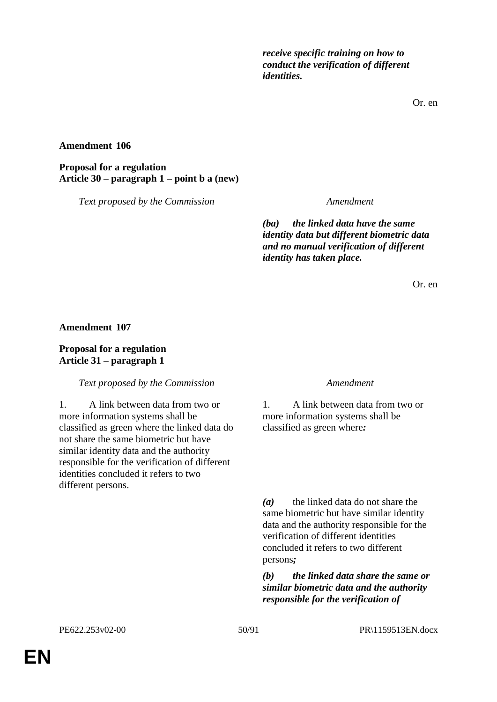*receive specific training on how to conduct the verification of different identities.*

Or. en

### **Amendment 106**

**Proposal for a regulation Article 30 – paragraph 1 – point b a (new)**

*Text proposed by the Commission Amendment*

*(ba) the linked data have the same identity data but different biometric data and no manual verification of different identity has taken place.*

Or. en

**Amendment 107**

## **Proposal for a regulation Article 31 – paragraph 1**

### *Text proposed by the Commission Amendment*

1. A link between data from two or more information systems shall be classified as green where the linked data do not share the same biometric but have similar identity data and the authority responsible for the verification of different identities concluded it refers to two different persons.

1. A link between data from two or more information systems shall be classified as green where*:*

*(a)* the linked data do not share the same biometric but have similar identity data and the authority responsible for the verification of different identities concluded it refers to two different persons*;*

*(b) the linked data share the same or similar biometric data and the authority responsible for the verification of*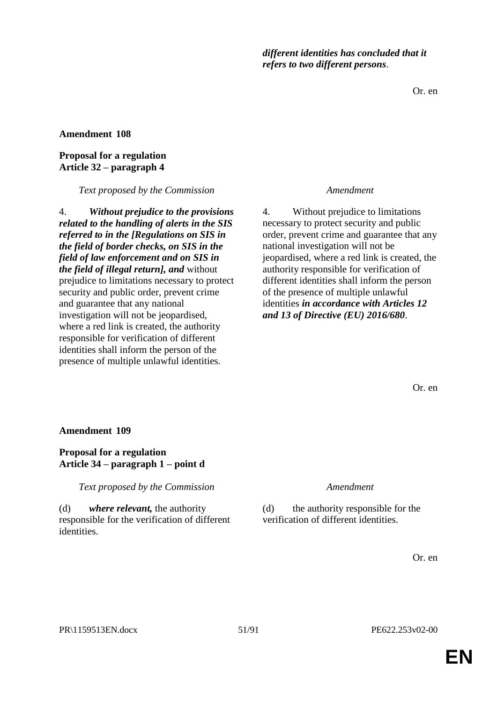*different identities has concluded that it refers to two different persons*.

Or. en

### **Amendment 108**

## **Proposal for a regulation Article 32 – paragraph 4**

*Text proposed by the Commission Amendment*

4. *Without prejudice to the provisions related to the handling of alerts in the SIS referred to in the [Regulations on SIS in the field of border checks, on SIS in the field of law enforcement and on SIS in the field of illegal return], and* without prejudice to limitations necessary to protect security and public order, prevent crime and guarantee that any national investigation will not be jeopardised, where a red link is created, the authority responsible for verification of different identities shall inform the person of the presence of multiple unlawful identities.

4. Without prejudice to limitations necessary to protect security and public order, prevent crime and guarantee that any national investigation will not be jeopardised, where a red link is created, the authority responsible for verification of different identities shall inform the person of the presence of multiple unlawful identities *in accordance with Articles 12 and 13 of Directive (EU) 2016/680*.

Or. en

### **Amendment 109**

## **Proposal for a regulation Article 34 – paragraph 1 – point d**

*Text proposed by the Commission Amendment*

(d) *where relevant,* the authority responsible for the verification of different identities.

(d) the authority responsible for the verification of different identities.

Or. en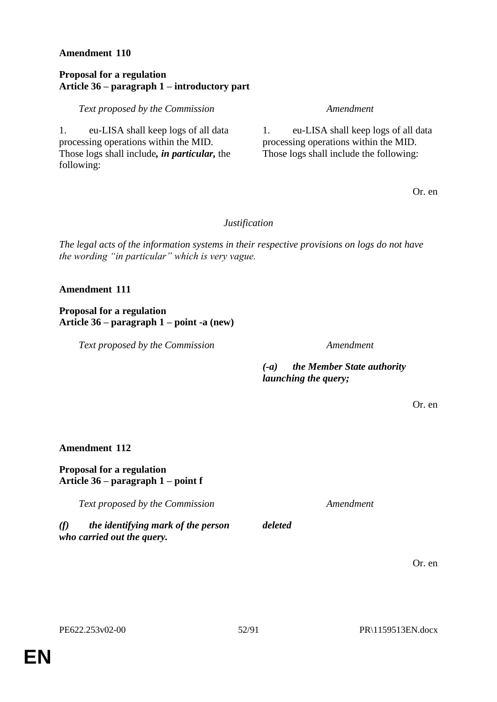### **Proposal for a regulation Article 36 – paragraph 1 – introductory part**

*Text proposed by the Commission Amendment*

1. eu-LISA shall keep logs of all data processing operations within the MID. Those logs shall include*, in particular,* the following:

1. eu-LISA shall keep logs of all data processing operations within the MID. Those logs shall include the following:

Or. en

## *Justification*

*The legal acts of the information systems in their respective provisions on logs do not have the wording "in particular" which is very vague.*

## **Amendment 111**

**Proposal for a regulation Article 36 – paragraph 1 – point -a (new)**

*Text proposed by the Commission Amendment*

*(-a) the Member State authority launching the query;*

Or. en

## **Amendment 112**

## **Proposal for a regulation Article 36 – paragraph 1 – point f**

*who carried out the query.*

*Text proposed by the Commission Amendment*

*(f) the identifying mark of the person* 

*deleted*

Or. en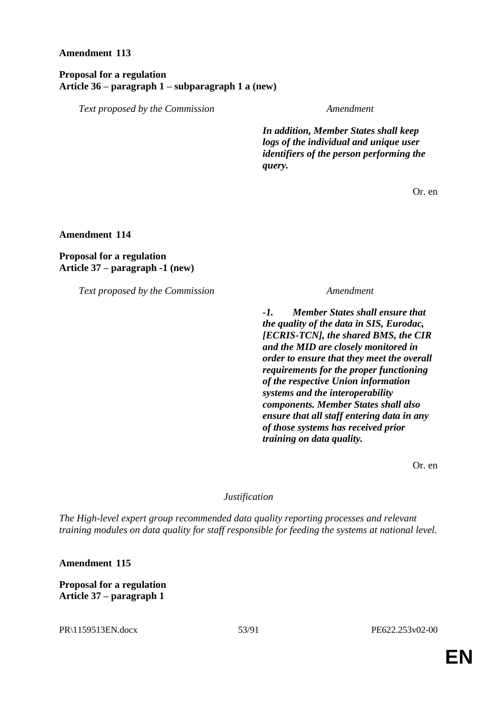## **Proposal for a regulation Article 36 – paragraph 1 – subparagraph 1 a (new)**

*Text proposed by the Commission Amendment*

*In addition, Member States shall keep logs of the individual and unique user identifiers of the person performing the query.*

Or. en

**Amendment 114**

## **Proposal for a regulation Article 37 – paragraph -1 (new)**

*Text proposed by the Commission Amendment*

*-1. Member States shall ensure that the quality of the data in SIS, Eurodac, [ECRIS-TCN], the shared BMS, the CIR and the MID are closely monitored in order to ensure that they meet the overall requirements for the proper functioning of the respective Union information systems and the interoperability components. Member States shall also ensure that all staff entering data in any of those systems has received prior training on data quality.*

Or. en

## *Justification*

*The High-level expert group recommended data quality reporting processes and relevant training modules on data quality for staff responsible for feeding the systems at national level.*

**Amendment 115**

**Proposal for a regulation Article 37 – paragraph 1**

PR\1159513EN.docx 53/91 PE622.253v02-00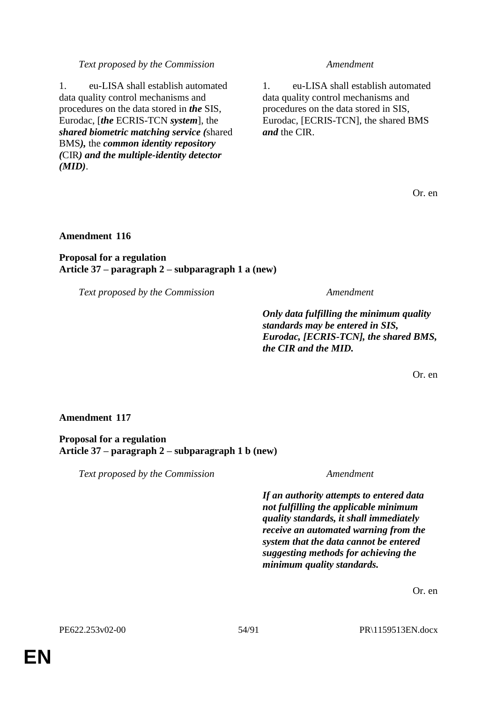**EN**

## *Text proposed by the Commission Amendment*

1. eu-LISA shall establish automated data quality control mechanisms and procedures on the data stored in *the* SIS, Eurodac, [*the* ECRIS-TCN *system*], the *shared biometric matching service (*shared BMS*),* the *common identity repository (*CIR*) and the multiple-identity detector (MID)*.

1. eu-LISA shall establish automated data quality control mechanisms and procedures on the data stored in SIS, Eurodac, [ECRIS-TCN], the shared BMS *and* the CIR.

Or. en

**Amendment 116**

**Proposal for a regulation Article 37 – paragraph 2 – subparagraph 1 a (new)**

*Text proposed by the Commission Amendment*

*Only data fulfilling the minimum quality standards may be entered in SIS, Eurodac, [ECRIS-TCN], the shared BMS, the CIR and the MID.*

Or. en

## **Amendment 117**

**Proposal for a regulation Article 37 – paragraph 2 – subparagraph 1 b (new)**

*Text proposed by the Commission Amendment*

*If an authority attempts to entered data not fulfilling the applicable minimum quality standards, it shall immediately receive an automated warning from the system that the data cannot be entered suggesting methods for achieving the minimum quality standards.*

Or. en

PE622.253v02-00 54/91 PR\1159513EN.docx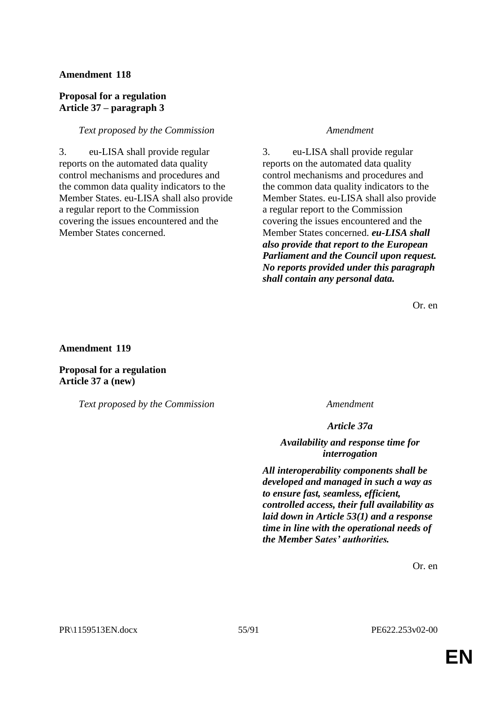## **Proposal for a regulation Article 37 – paragraph 3**

## *Text proposed by the Commission Amendment*

3. eu-LISA shall provide regular reports on the automated data quality control mechanisms and procedures and the common data quality indicators to the Member States. eu-LISA shall also provide a regular report to the Commission covering the issues encountered and the Member States concerned.

3. eu-LISA shall provide regular reports on the automated data quality control mechanisms and procedures and the common data quality indicators to the Member States. eu-LISA shall also provide a regular report to the Commission covering the issues encountered and the Member States concerned. *eu-LISA shall also provide that report to the European Parliament and the Council upon request. No reports provided under this paragraph shall contain any personal data.*

Or. en

**Amendment 119**

**Proposal for a regulation Article 37 a (new)**

*Text proposed by the Commission Amendment*

*Article 37a*

*Availability and response time for interrogation*

*All interoperability components shall be developed and managed in such a way as to ensure fast, seamless, efficient, controlled access, their full availability as laid down in Article 53(1) and a response time in line with the operational needs of the Member Sates' authorities.*

Or. en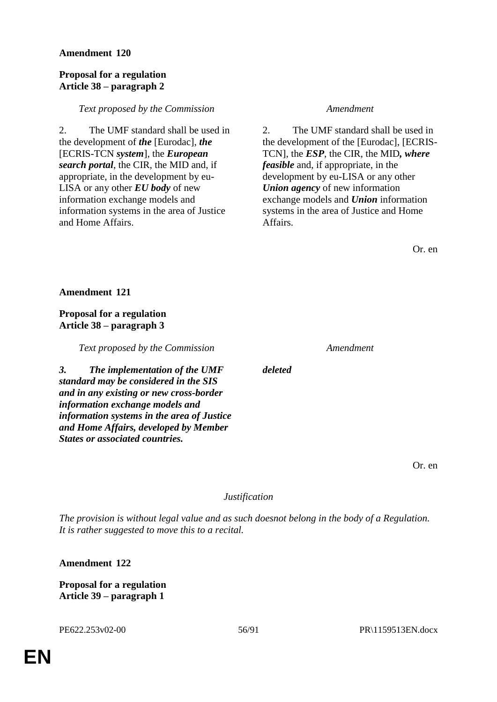## **Proposal for a regulation Article 38 – paragraph 2**

## *Text proposed by the Commission Amendment*

2. The UMF standard shall be used in the development of *the* [Eurodac], *the* [ECRIS-TCN *system*], the *European search portal*, the CIR, the MID and, if appropriate, in the development by eu-LISA or any other *EU body* of new information exchange models and information systems in the area of Justice and Home Affairs.

2. The UMF standard shall be used in the development of the [Eurodac], [ECRIS-TCN], the *ESP*, the CIR, the MID*, where feasible* and, if appropriate, in the development by eu-LISA or any other *Union agency* of new information exchange models and *Union* information systems in the area of Justice and Home Affairs.

Or. en

**Amendment 121**

## **Proposal for a regulation Article 38 – paragraph 3**

*Text proposed by the Commission Amendment*

*3. The implementation of the UMF standard may be considered in the SIS and in any existing or new cross-border information exchange models and information systems in the area of Justice and Home Affairs, developed by Member States or associated countries.*

Or. en

## *Justification*

*deleted*

*The provision is without legal value and as such doesnot belong in the body of a Regulation. It is rather suggested to move this to a recital.*

**Amendment 122**

**Proposal for a regulation Article 39 – paragraph 1**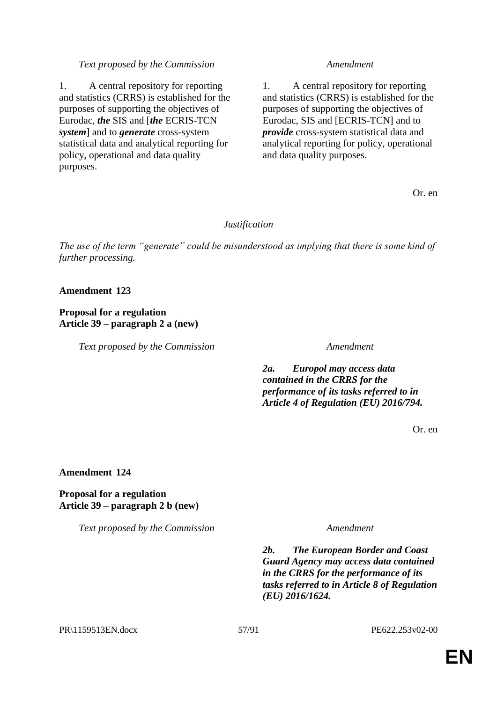1. A central repository for reporting and statistics (CRRS) is established for the purposes of supporting the objectives of Eurodac, *the* SIS and [*the* ECRIS-TCN *system*] and to *generate* cross-system statistical data and analytical reporting for policy, operational and data quality purposes.

1. A central repository for reporting and statistics (CRRS) is established for the purposes of supporting the objectives of Eurodac, SIS and [ECRIS-TCN] and to *provide* cross-system statistical data and analytical reporting for policy, operational and data quality purposes.

Or. en

## *Justification*

*The use of the term "generate" could be misunderstood as implying that there is some kind of further processing.*

## **Amendment 123**

## **Proposal for a regulation Article 39 – paragraph 2 a (new)**

*Text proposed by the Commission Amendment*

*2a. Europol may access data contained in the CRRS for the performance of its tasks referred to in Article 4 of Regulation (EU) 2016/794.*

Or. en

## **Amendment 124**

## **Proposal for a regulation Article 39 – paragraph 2 b (new)**

*Text proposed by the Commission Amendment*

*2b. The European Border and Coast Guard Agency may access data contained in the CRRS for the performance of its tasks referred to in Article 8 of Regulation (EU) 2016/1624.*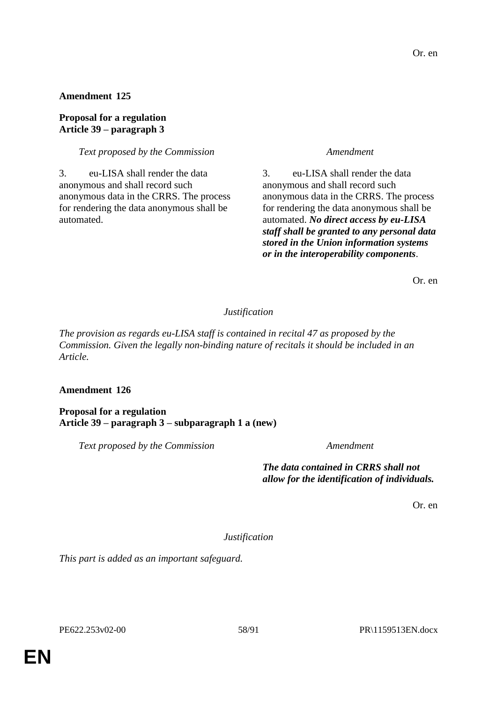## **Proposal for a regulation Article 39 – paragraph 3**

## *Text proposed by the Commission Amendment*

3. eu-LISA shall render the data anonymous and shall record such anonymous data in the CRRS. The process for rendering the data anonymous shall be automated.

3. eu-LISA shall render the data anonymous and shall record such anonymous data in the CRRS. The process for rendering the data anonymous shall be automated. *No direct access by eu-LISA staff shall be granted to any personal data stored in the Union information systems or in the interoperability components*.

Or. en

## *Justification*

*The provision as regards eu-LISA staff is contained in recital 47 as proposed by the Commission. Given the legally non-binding nature of recitals it should be included in an Article.*

## **Amendment 126**

## **Proposal for a regulation Article 39 – paragraph 3 – subparagraph 1 a (new)**

*Text proposed by the Commission Amendment*

*The data contained in CRRS shall not allow for the identification of individuals.*

Or. en

*Justification*

*This part is added as an important safeguard.*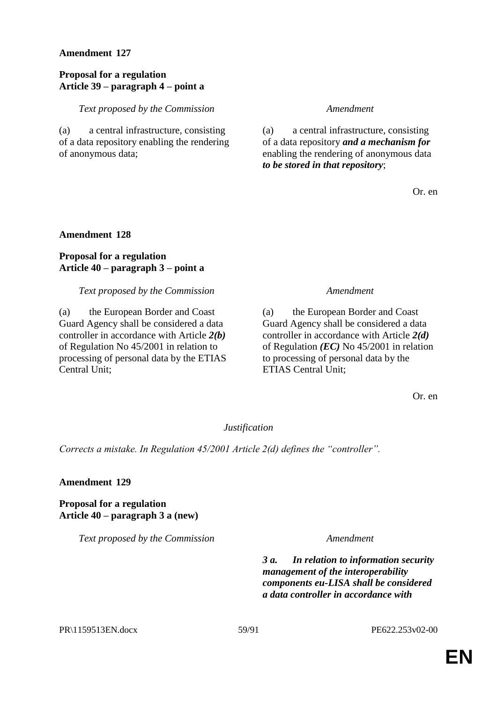## **Proposal for a regulation Article 39 – paragraph 4 – point a**

## *Text proposed by the Commission Amendment*

(a) a central infrastructure, consisting of a data repository enabling the rendering of anonymous data;

(a) a central infrastructure, consisting of a data repository *and a mechanism for* enabling the rendering of anonymous data *to be stored in that repository*;

Or. en

## **Amendment 128**

## **Proposal for a regulation Article 40 – paragraph 3 – point a**

## *Text proposed by the Commission Amendment*

(a) the European Border and Coast Guard Agency shall be considered a data controller in accordance with Article *2(b)* of Regulation No 45/2001 in relation to processing of personal data by the ETIAS Central Unit;

(a) the European Border and Coast Guard Agency shall be considered a data controller in accordance with Article *2(d)* of Regulation *(EC)* No 45/2001 in relation to processing of personal data by the ETIAS Central Unit;

Or. en

## *Justification*

*Corrects a mistake. In Regulation 45/2001 Article 2(d) defines the "controller".*

## **Amendment 129**

## **Proposal for a regulation Article 40 – paragraph 3 a (new)**

*Text proposed by the Commission Amendment*

*3 a. In relation to information security management of the interoperability components eu-LISA shall be considered a data controller in accordance with*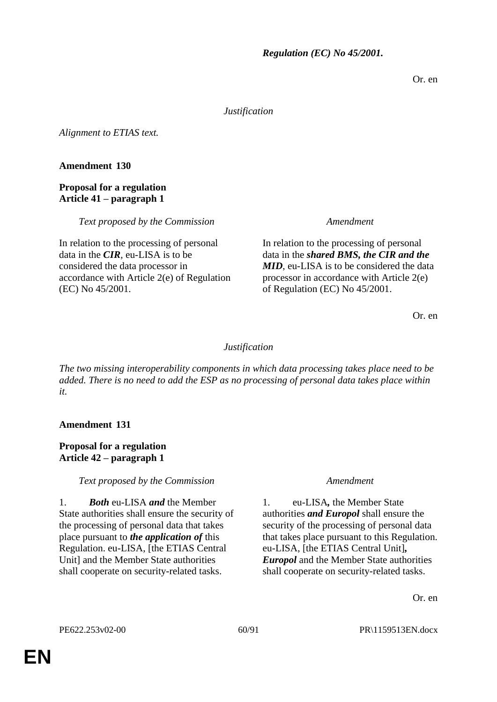## *Regulation (EC) No 45/2001.*

Or. en

## *Justification*

*Alignment to ETIAS text.*

## **Amendment 130**

## **Proposal for a regulation Article 41 – paragraph 1**

*Text proposed by the Commission Amendment*

In relation to the processing of personal data in the *CIR*, eu-LISA is to be considered the data processor in accordance with Article 2(e) of Regulation (EC) No 45/2001.

In relation to the processing of personal data in the *shared BMS, the CIR and the MID*, eu-LISA is to be considered the data processor in accordance with Article 2(e) of Regulation (EC) No 45/2001.

Or. en

### *Justification*

*The two missing interoperability components in which data processing takes place need to be added. There is no need to add the ESP as no processing of personal data takes place within it.*

## **Amendment 131**

## **Proposal for a regulation Article 42 – paragraph 1**

*Text proposed by the Commission Amendment*

1. *Both* eu-LISA *and* the Member State authorities shall ensure the security of the processing of personal data that takes place pursuant to *the application of* this Regulation. eu-LISA, [the ETIAS Central Unit] and the Member State authorities shall cooperate on security-related tasks.

1. eu-LISA*,* the Member State authorities *and Europol* shall ensure the security of the processing of personal data that takes place pursuant to this Regulation. eu-LISA, [the ETIAS Central Unit]*, Europol* and the Member State authorities shall cooperate on security-related tasks.

Or. en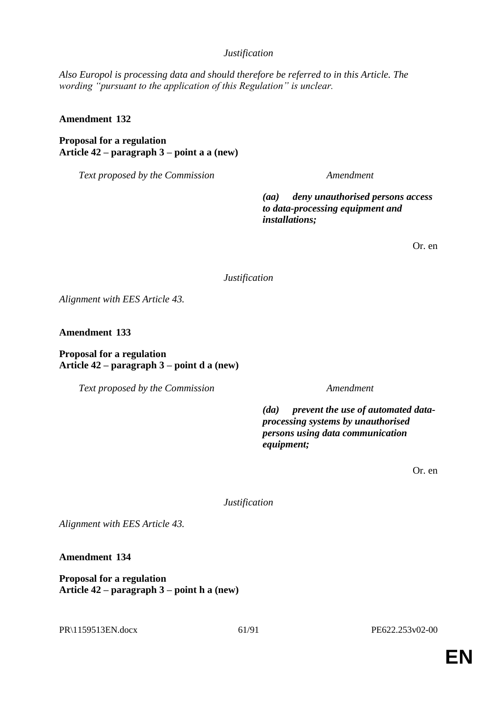## *Justification*

*Also Europol is processing data and should therefore be referred to in this Article. The wording "pursuant to the application of this Regulation" is unclear.*

## **Amendment 132**

**Proposal for a regulation Article 42 – paragraph 3 – point a a (new)**

*Text proposed by the Commission Amendment*

*(aa) deny unauthorised persons access to data-processing equipment and installations;*

Or. en

*Justification*

*Alignment with EES Article 43.*

**Amendment 133**

**Proposal for a regulation Article 42 – paragraph 3 – point d a (new)**

*Text proposed by the Commission Amendment*

*(da) prevent the use of automated dataprocessing systems by unauthorised persons using data communication equipment;*

Or. en

*Justification*

*Alignment with EES Article 43.*

**Amendment 134**

**Proposal for a regulation Article 42 – paragraph 3 – point h a (new)**

PR\1159513EN.docx 61/91 PE622.253v02-00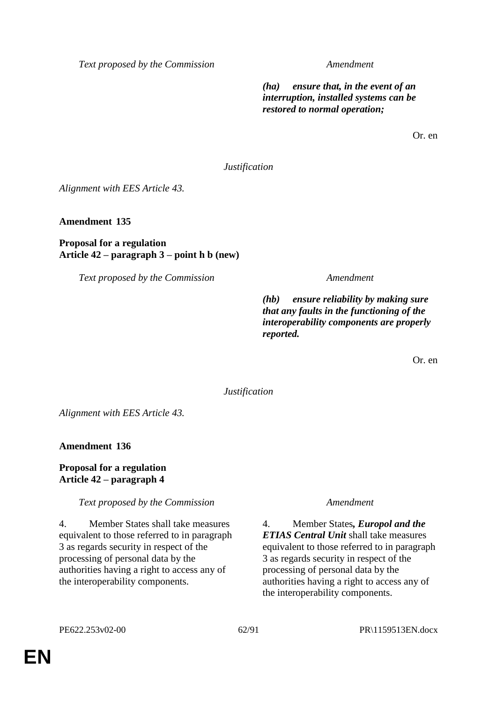*(ha) ensure that, in the event of an interruption, installed systems can be restored to normal operation;*

Or. en

*Justification*

*Alignment with EES Article 43.*

**Amendment 135**

## **Proposal for a regulation Article 42 – paragraph 3 – point h b (new)**

*Text proposed by the Commission Amendment*

*(hb) ensure reliability by making sure that any faults in the functioning of the interoperability components are properly reported.*

Or. en

*Justification*

*Alignment with EES Article 43.*

**Amendment 136**

## **Proposal for a regulation Article 42 – paragraph 4**

*Text proposed by the Commission Amendment*

4. Member States shall take measures equivalent to those referred to in paragraph 3 as regards security in respect of the processing of personal data by the authorities having a right to access any of the interoperability components.

4. Member States*, Europol and the ETIAS Central Unit* shall take measures equivalent to those referred to in paragraph 3 as regards security in respect of the processing of personal data by the authorities having a right to access any of the interoperability components.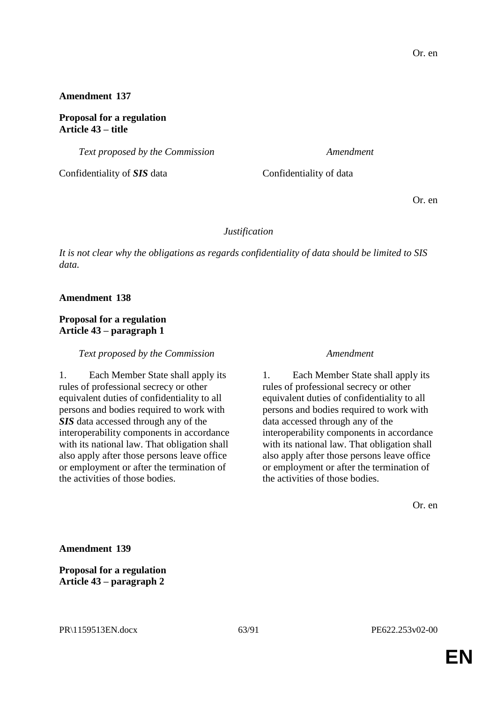### **Proposal for a regulation Article 43 – title**

*Text proposed by the Commission Amendment*

Confidentiality of **SIS** data Confidentiality of data

Or. en

## *Justification*

*It is not clear why the obligations as regards confidentiality of data should be limited to SIS data.*

## **Amendment 138**

## **Proposal for a regulation Article 43 – paragraph 1**

### *Text proposed by the Commission Amendment*

1. Each Member State shall apply its rules of professional secrecy or other equivalent duties of confidentiality to all persons and bodies required to work with *SIS* data accessed through any of the interoperability components in accordance with its national law. That obligation shall also apply after those persons leave office or employment or after the termination of the activities of those bodies.

1. Each Member State shall apply its rules of professional secrecy or other equivalent duties of confidentiality to all persons and bodies required to work with data accessed through any of the interoperability components in accordance with its national law. That obligation shall also apply after those persons leave office or employment or after the termination of the activities of those bodies.

Or. en

**Amendment 139**

**Proposal for a regulation Article 43 – paragraph 2**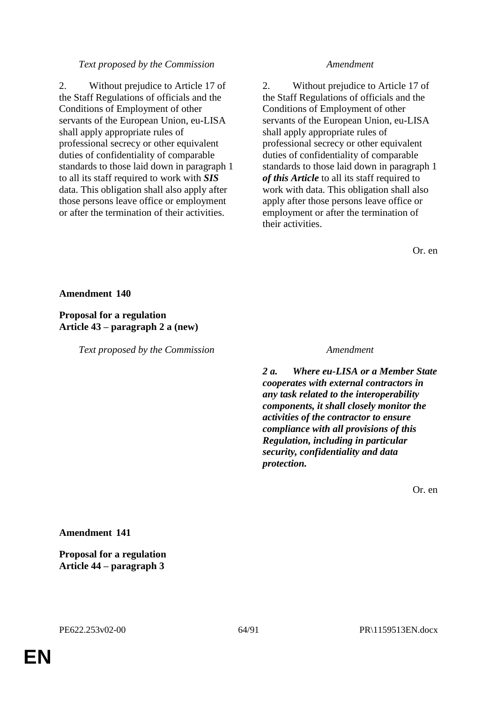2. Without prejudice to Article 17 of the Staff Regulations of officials and the Conditions of Employment of other servants of the European Union, eu-LISA shall apply appropriate rules of professional secrecy or other equivalent duties of confidentiality of comparable standards to those laid down in paragraph 1 to all its staff required to work with *SIS* data. This obligation shall also apply after those persons leave office or employment or after the termination of their activities.

2. Without prejudice to Article 17 of the Staff Regulations of officials and the Conditions of Employment of other servants of the European Union, eu-LISA shall apply appropriate rules of professional secrecy or other equivalent duties of confidentiality of comparable standards to those laid down in paragraph 1 *of this Article* to all its staff required to work with data. This obligation shall also apply after those persons leave office or employment or after the termination of their activities.

Or. en

**Amendment 140**

**Proposal for a regulation Article 43 – paragraph 2 a (new)**

*Text proposed by the Commission Amendment*

*2 a. Where eu-LISA or a Member State cooperates with external contractors in any task related to the interoperability components, it shall closely monitor the activities of the contractor to ensure compliance with all provisions of this Regulation, including in particular security, confidentiality and data protection.*

Or. en

## **Amendment 141**

**Proposal for a regulation Article 44 – paragraph 3**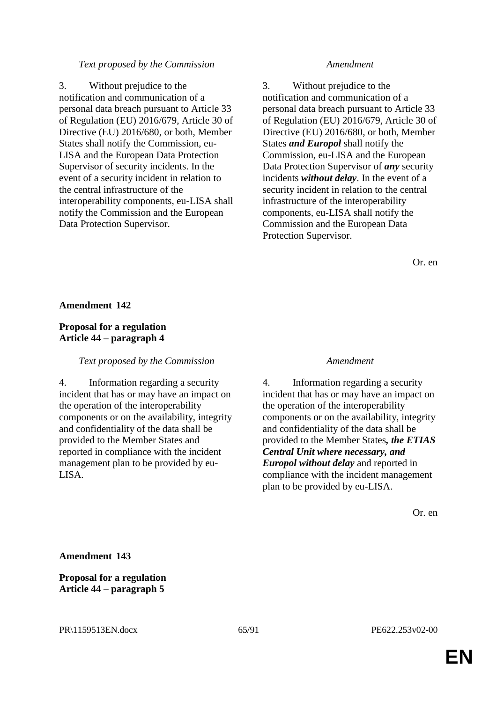3. Without prejudice to the notification and communication of a personal data breach pursuant to Article 33 of Regulation (EU) 2016/679, Article 30 of Directive (EU) 2016/680, or both, Member States shall notify the Commission, eu-LISA and the European Data Protection Supervisor of security incidents. In the event of a security incident in relation to the central infrastructure of the interoperability components, eu-LISA shall notify the Commission and the European Data Protection Supervisor.

3. Without prejudice to the notification and communication of a personal data breach pursuant to Article 33 of Regulation (EU) 2016/679, Article 30 of Directive (EU) 2016/680, or both, Member States *and Europol* shall notify the Commission, eu-LISA and the European Data Protection Supervisor of *any* security incidents *without delay*. In the event of a security incident in relation to the central infrastructure of the interoperability components, eu-LISA shall notify the Commission and the European Data Protection Supervisor.

Or. en

### **Amendment 142**

## **Proposal for a regulation Article 44 – paragraph 4**

### *Text proposed by the Commission Amendment*

4. Information regarding a security incident that has or may have an impact on the operation of the interoperability components or on the availability, integrity and confidentiality of the data shall be provided to the Member States and reported in compliance with the incident management plan to be provided by eu-LISA.

4. Information regarding a security incident that has or may have an impact on the operation of the interoperability components or on the availability, integrity and confidentiality of the data shall be provided to the Member States*, the ETIAS Central Unit where necessary, and Europol without delay* and reported in compliance with the incident management plan to be provided by eu-LISA.

Or. en

### **Amendment 143**

**Proposal for a regulation Article 44 – paragraph 5**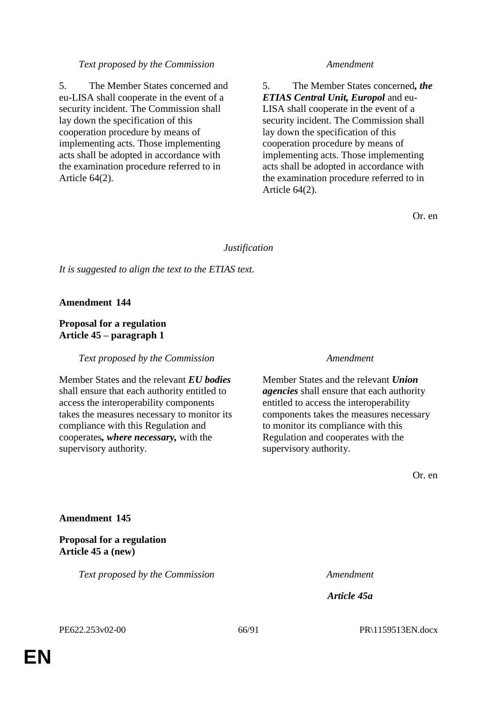5. The Member States concerned and eu-LISA shall cooperate in the event of a security incident. The Commission shall lay down the specification of this cooperation procedure by means of implementing acts. Those implementing acts shall be adopted in accordance with the examination procedure referred to in Article 64(2).

5. The Member States concerned*, the ETIAS Central Unit, Europol* and eu-LISA shall cooperate in the event of a security incident. The Commission shall lay down the specification of this cooperation procedure by means of implementing acts. Those implementing acts shall be adopted in accordance with the examination procedure referred to in Article 64(2).

Or. en

### *Justification*

*It is suggested to align the text to the ETIAS text.*

### **Amendment 144**

## **Proposal for a regulation Article 45 – paragraph 1**

*Text proposed by the Commission Amendment*

Member States and the relevant *EU bodies* shall ensure that each authority entitled to access the interoperability components takes the measures necessary to monitor its compliance with this Regulation and cooperates*, where necessary,* with the supervisory authority.

Member States and the relevant *Union agencies* shall ensure that each authority entitled to access the interoperability components takes the measures necessary to monitor its compliance with this Regulation and cooperates with the supervisory authority.

Or. en

## **Amendment 145**

**Proposal for a regulation Article 45 a (new)**

*Text proposed by the Commission Amendment*

*Article 45a*

PE622.253v02-00 66/91 PR\1159513EN.docx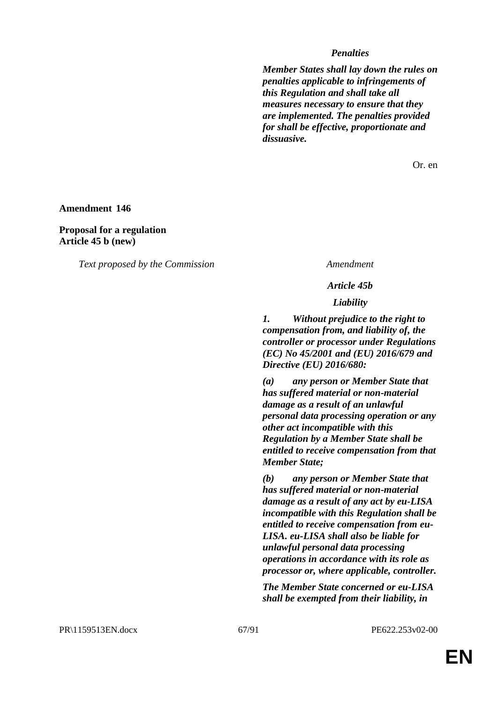## *Penalties*

*Member States shall lay down the rules on penalties applicable to infringements of this Regulation and shall take all measures necessary to ensure that they are implemented. The penalties provided for shall be effective, proportionate and dissuasive.*

Or. en

**Amendment 146**

### **Proposal for a regulation Article 45 b (new)**

*Text proposed by the Commission Amendment*

*Article 45b*

*Liability*

*1. Without prejudice to the right to compensation from, and liability of, the controller or processor under Regulations (EC) No 45/2001 and (EU) 2016/679 and Directive (EU) 2016/680:*

*(a) any person or Member State that has suffered material or non-material damage as a result of an unlawful personal data processing operation or any other act incompatible with this Regulation by a Member State shall be entitled to receive compensation from that Member State;*

*(b) any person or Member State that has suffered material or non-material damage as a result of any act by eu-LISA incompatible with this Regulation shall be entitled to receive compensation from eu-LISA. eu-LISA shall also be liable for unlawful personal data processing operations in accordance with its role as processor or, where applicable, controller.*

*The Member State concerned or eu-LISA shall be exempted from their liability, in*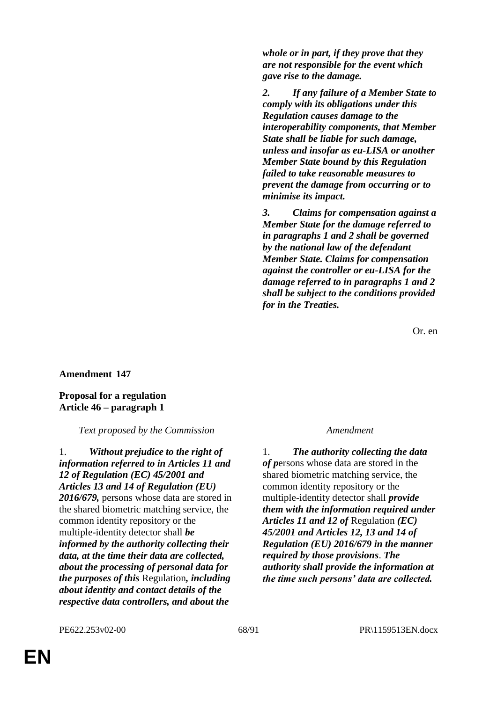*whole or in part, if they prove that they are not responsible for the event which gave rise to the damage.*

*2. If any failure of a Member State to comply with its obligations under this Regulation causes damage to the interoperability components, that Member State shall be liable for such damage, unless and insofar as eu-LISA or another Member State bound by this Regulation failed to take reasonable measures to prevent the damage from occurring or to minimise its impact.*

*3. Claims for compensation against a Member State for the damage referred to in paragraphs 1 and 2 shall be governed by the national law of the defendant Member State. Claims for compensation against the controller or eu-LISA for the damage referred to in paragraphs 1 and 2 shall be subject to the conditions provided for in the Treaties.*

Or. en

## **Amendment 147**

**Proposal for a regulation Article 46 – paragraph 1**

*Text proposed by the Commission Amendment*

1. *Without prejudice to the right of information referred to in Articles 11 and 12 of Regulation (EC) 45/2001 and Articles 13 and 14 of Regulation (EU) 2016/679,* persons whose data are stored in the shared biometric matching service, the common identity repository or the multiple-identity detector shall *be informed by the authority collecting their data, at the time their data are collected, about the processing of personal data for the purposes of this* Regulation*, including about identity and contact details of the respective data controllers, and about the* 

1. *The authority collecting the data of p*ersons whose data are stored in the shared biometric matching service, the common identity repository or the multiple-identity detector shall *provide them with the information required under Articles 11 and 12 of* Regulation *(EC) 45/2001 and Articles 12, 13 and 14 of Regulation (EU) 2016/679 in the manner required by those provisions*. *The authority shall provide the information at the time such persons' data are collected.*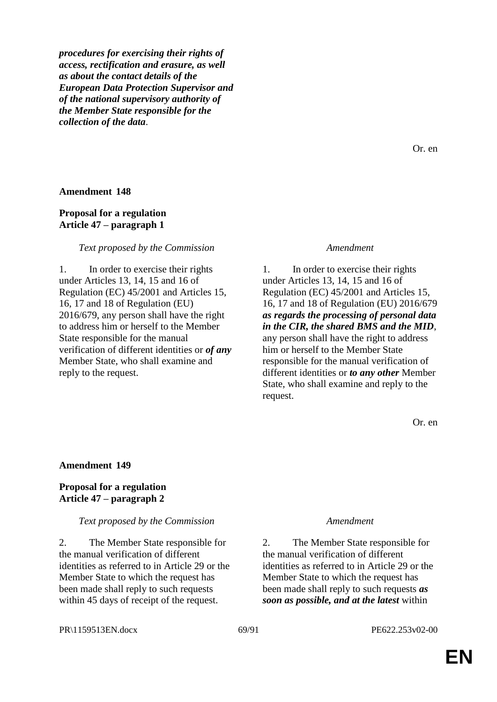*procedures for exercising their rights of access, rectification and erasure, as well as about the contact details of the European Data Protection Supervisor and of the national supervisory authority of the Member State responsible for the collection of the data*.

Or. en

### **Amendment 148**

## **Proposal for a regulation Article 47 – paragraph 1**

### *Text proposed by the Commission Amendment*

1. In order to exercise their rights under Articles 13, 14, 15 and 16 of Regulation (EC) 45/2001 and Articles 15, 16, 17 and 18 of Regulation (EU) 2016/679, any person shall have the right to address him or herself to the Member State responsible for the manual verification of different identities or *of any* Member State, who shall examine and reply to the request.

1. In order to exercise their rights under Articles 13, 14, 15 and 16 of Regulation (EC) 45/2001 and Articles 15, 16, 17 and 18 of Regulation (EU) 2016/679 *as regards the processing of personal data in the CIR, the shared BMS and the MID*, any person shall have the right to address him or herself to the Member State responsible for the manual verification of different identities or *to any other* Member State, who shall examine and reply to the request.

Or. en

### **Amendment 149**

## **Proposal for a regulation Article 47 – paragraph 2**

### *Text proposed by the Commission Amendment*

2. The Member State responsible for the manual verification of different identities as referred to in Article 29 or the Member State to which the request has been made shall reply to such requests within 45 days of receipt of the request.

2. The Member State responsible for the manual verification of different identities as referred to in Article 29 or the Member State to which the request has been made shall reply to such requests *as soon as possible, and at the latest* within

### PR\1159513EN.docx 69/91 PE622.253v02-00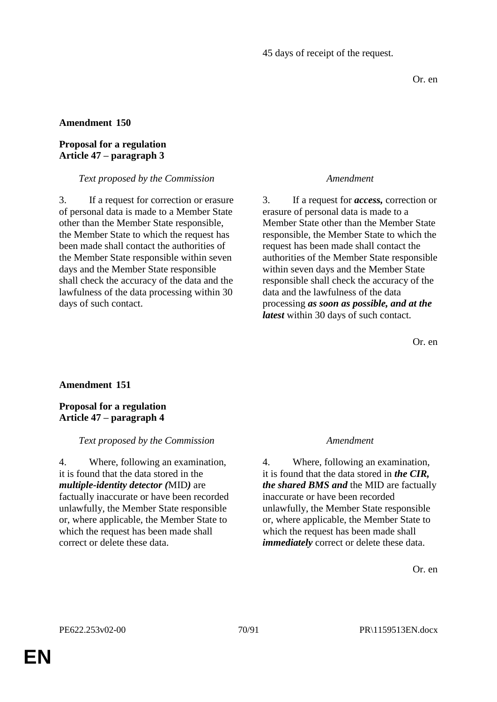45 days of receipt of the request.

## Or. en

## **Amendment 150**

## **Proposal for a regulation Article 47 – paragraph 3**

### *Text proposed by the Commission Amendment*

3. If a request for correction or erasure of personal data is made to a Member State other than the Member State responsible, the Member State to which the request has been made shall contact the authorities of the Member State responsible within seven days and the Member State responsible shall check the accuracy of the data and the lawfulness of the data processing within 30 days of such contact.

3. If a request for *access,* correction or erasure of personal data is made to a Member State other than the Member State responsible, the Member State to which the request has been made shall contact the authorities of the Member State responsible within seven days and the Member State responsible shall check the accuracy of the data and the lawfulness of the data processing *as soon as possible, and at the latest* within 30 days of such contact.

Or. en

## **Amendment 151**

## **Proposal for a regulation Article 47 – paragraph 4**

## *Text proposed by the Commission Amendment*

4. Where, following an examination, it is found that the data stored in the *multiple-identity detector (*MID*)* are factually inaccurate or have been recorded unlawfully, the Member State responsible or, where applicable, the Member State to which the request has been made shall correct or delete these data.

4. Where, following an examination, it is found that the data stored in *the CIR, the shared BMS and* the MID are factually inaccurate or have been recorded unlawfully, the Member State responsible or, where applicable, the Member State to which the request has been made shall *immediately* correct or delete these data.

Or. en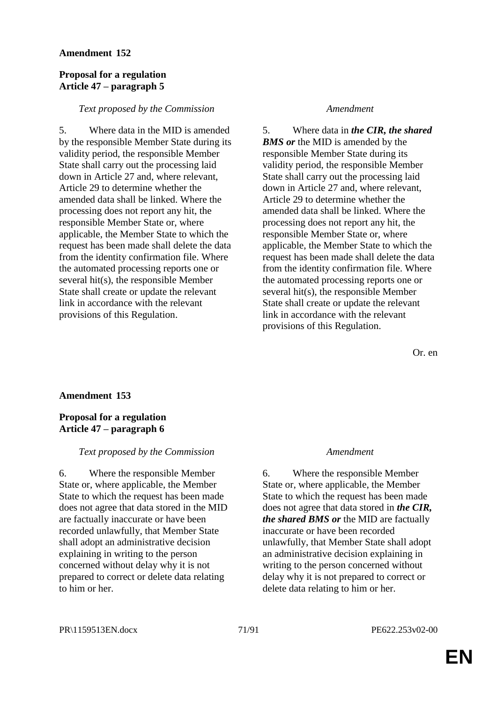## **Proposal for a regulation Article 47 – paragraph 5**

### *Text proposed by the Commission Amendment*

5. Where data in the MID is amended by the responsible Member State during its validity period, the responsible Member State shall carry out the processing laid down in Article 27 and, where relevant, Article 29 to determine whether the amended data shall be linked. Where the processing does not report any hit, the responsible Member State or, where applicable, the Member State to which the request has been made shall delete the data from the identity confirmation file. Where the automated processing reports one or several hit(s), the responsible Member State shall create or update the relevant link in accordance with the relevant provisions of this Regulation.

5. Where data in *the CIR, the shared BMS or* the MID is amended by the responsible Member State during its validity period, the responsible Member State shall carry out the processing laid down in Article 27 and, where relevant, Article 29 to determine whether the amended data shall be linked. Where the processing does not report any hit, the responsible Member State or, where applicable, the Member State to which the request has been made shall delete the data from the identity confirmation file. Where the automated processing reports one or several hit(s), the responsible Member State shall create or update the relevant link in accordance with the relevant provisions of this Regulation.

Or. en

## **Amendment 153**

## **Proposal for a regulation Article 47 – paragraph 6**

### *Text proposed by the Commission Amendment*

6. Where the responsible Member State or, where applicable, the Member State to which the request has been made does not agree that data stored in the MID are factually inaccurate or have been recorded unlawfully, that Member State shall adopt an administrative decision explaining in writing to the person concerned without delay why it is not prepared to correct or delete data relating to him or her.

6. Where the responsible Member State or, where applicable, the Member State to which the request has been made does not agree that data stored in *the CIR, the shared BMS or* the MID are factually inaccurate or have been recorded unlawfully, that Member State shall adopt an administrative decision explaining in writing to the person concerned without delay why it is not prepared to correct or delete data relating to him or her.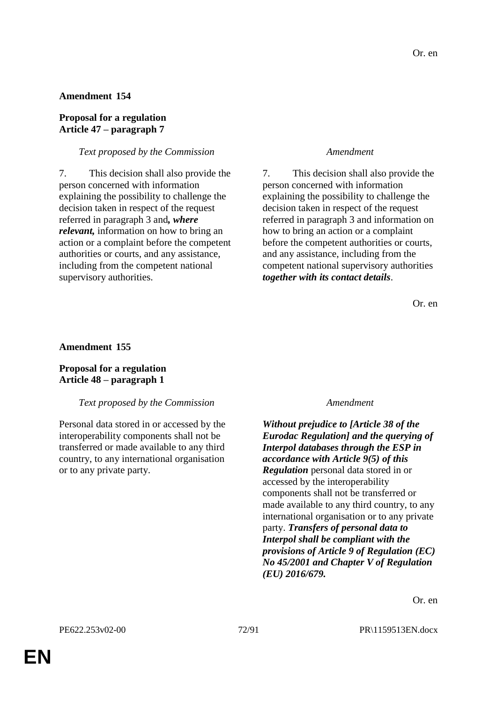## **Proposal for a regulation Article 47 – paragraph 7**

## *Text proposed by the Commission Amendment*

7. This decision shall also provide the person concerned with information explaining the possibility to challenge the decision taken in respect of the request referred in paragraph 3 and*, where relevant,* information on how to bring an action or a complaint before the competent authorities or courts, and any assistance, including from the competent national supervisory authorities.

7. This decision shall also provide the person concerned with information explaining the possibility to challenge the decision taken in respect of the request referred in paragraph 3 and information on how to bring an action or a complaint before the competent authorities or courts, and any assistance, including from the competent national supervisory authorities *together with its contact details*.

Or. en

### **Amendment 155**

### **Proposal for a regulation Article 48 – paragraph 1**

## *Text proposed by the Commission Amendment*

Personal data stored in or accessed by the interoperability components shall not be transferred or made available to any third country, to any international organisation or to any private party.

*Without prejudice to [Article 38 of the Eurodac Regulation] and the querying of Interpol databases through the ESP in accordance with Article 9(5) of this Regulation* personal data stored in or accessed by the interoperability components shall not be transferred or made available to any third country, to any international organisation or to any private party. *Transfers of personal data to Interpol shall be compliant with the provisions of Article 9 of Regulation (EC) No 45/2001 and Chapter V of Regulation (EU) 2016/679.*

Or. en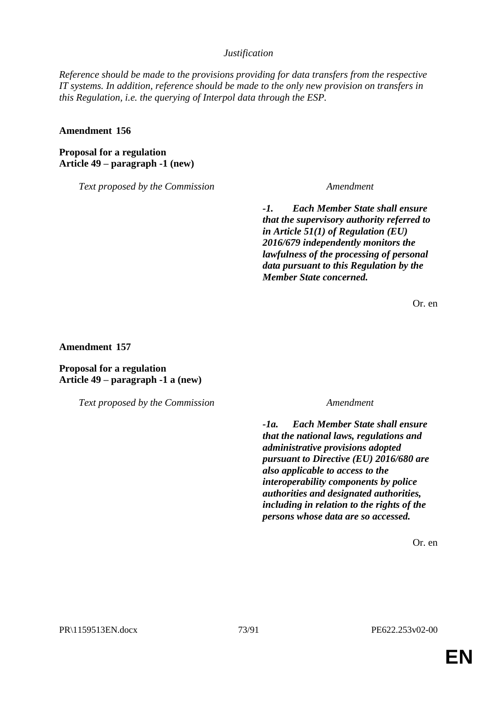# *Justification*

*Reference should be made to the provisions providing for data transfers from the respective IT systems. In addition, reference should be made to the only new provision on transfers in this Regulation, i.e. the querying of Interpol data through the ESP.*

### **Amendment 156**

**Proposal for a regulation Article 49 – paragraph -1 (new)**

*Text proposed by the Commission Amendment*

*-1. Each Member State shall ensure that the supervisory authority referred to in Article 51(1) of Regulation (EU) 2016/679 independently monitors the lawfulness of the processing of personal data pursuant to this Regulation by the Member State concerned.*

Or. en

**Amendment 157**

**Proposal for a regulation Article 49 – paragraph -1 a (new)**

*Text proposed by the Commission Amendment*

*-1a. Each Member State shall ensure that the national laws, regulations and administrative provisions adopted pursuant to Directive (EU) 2016/680 are also applicable to access to the interoperability components by police authorities and designated authorities, including in relation to the rights of the persons whose data are so accessed.*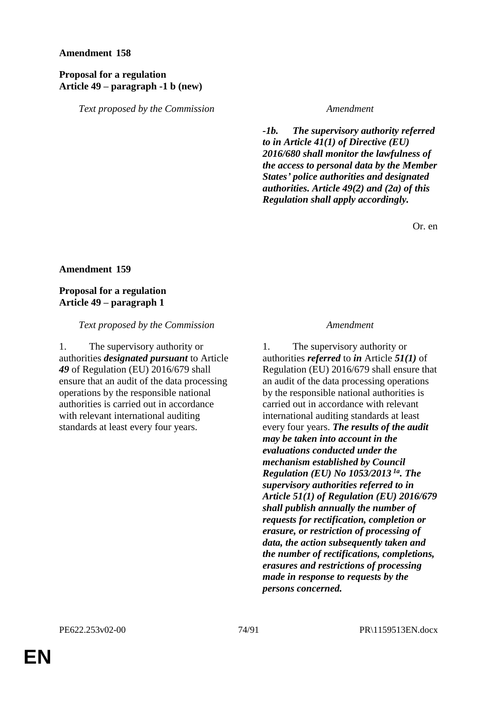# **Proposal for a regulation Article 49 – paragraph -1 b (new)**

*Text proposed by the Commission Amendment*

*-1b. The supervisory authority referred to in Article 41(1) of Directive (EU) 2016/680 shall monitor the lawfulness of the access to personal data by the Member States' police authorities and designated authorities. Article 49(2) and (2a) of this Regulation shall apply accordingly.*

Or. en

**Amendment 159**

# **Proposal for a regulation Article 49 – paragraph 1**

# *Text proposed by the Commission Amendment*

1. The supervisory authority or authorities *designated pursuant* to Article *49* of Regulation (EU) 2016/679 shall ensure that an audit of the data processing operations by the responsible national authorities is carried out in accordance with relevant international auditing standards at least every four years.

1. The supervisory authority or authorities *referred* to *in* Article *51(1)* of Regulation (EU) 2016/679 shall ensure that an audit of the data processing operations by the responsible national authorities is carried out in accordance with relevant international auditing standards at least every four years. *The results of the audit may be taken into account in the evaluations conducted under the mechanism established by Council Regulation (EU) No 1053/2013 1a. The supervisory authorities referred to in Article 51(1) of Regulation (EU) 2016/679 shall publish annually the number of requests for rectification, completion or erasure, or restriction of processing of data, the action subsequently taken and the number of rectifications, completions, erasures and restrictions of processing made in response to requests by the persons concerned.*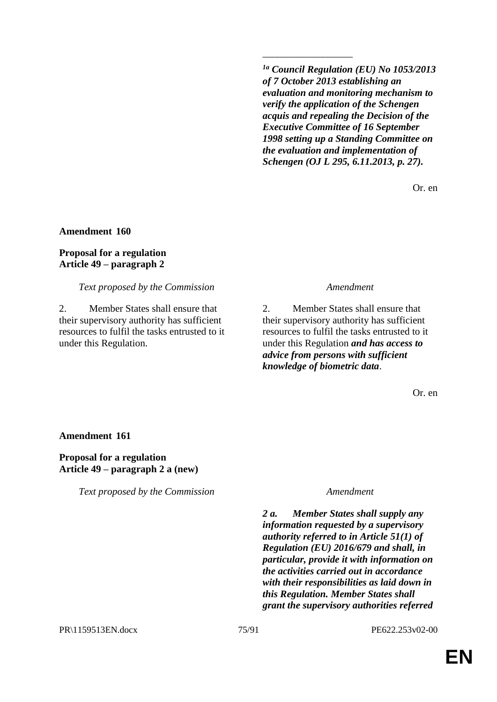*1a Council Regulation (EU) No 1053/2013 of 7 October 2013 establishing an evaluation and monitoring mechanism to verify the application of the Schengen acquis and repealing the Decision of the Executive Committee of 16 September 1998 setting up a Standing Committee on the evaluation and implementation of Schengen (OJ L 295, 6.11.2013, p. 27).*

\_\_\_\_\_\_\_\_\_\_\_\_\_\_\_\_\_\_

Or. en

### **Amendment 160**

# **Proposal for a regulation Article 49 – paragraph 2**

### *Text proposed by the Commission Amendment*

2. Member States shall ensure that their supervisory authority has sufficient resources to fulfil the tasks entrusted to it under this Regulation.

2. Member States shall ensure that their supervisory authority has sufficient resources to fulfil the tasks entrusted to it under this Regulation *and has access to advice from persons with sufficient knowledge of biometric data*.

Or. en

### **Amendment 161**

**Proposal for a regulation Article 49 – paragraph 2 a (new)**

*Text proposed by the Commission Amendment*

*2 a. Member States shall supply any information requested by a supervisory authority referred to in Article 51(1) of Regulation (EU) 2016/679 and shall, in particular, provide it with information on the activities carried out in accordance with their responsibilities as laid down in this Regulation. Member States shall grant the supervisory authorities referred*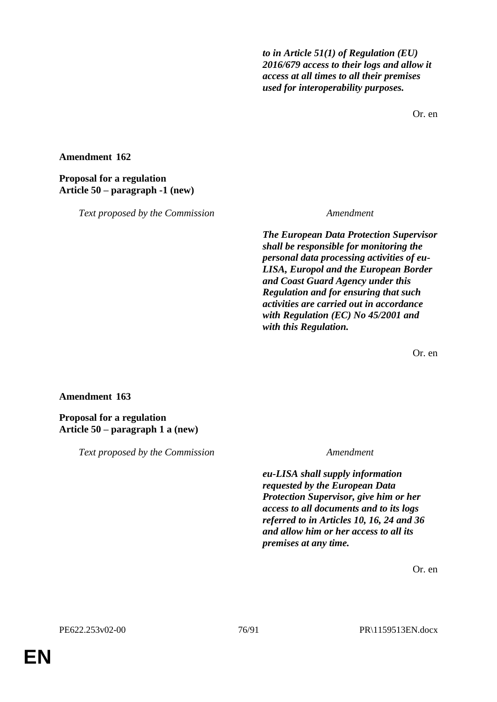*to in Article 51(1) of Regulation (EU) 2016/679 access to their logs and allow it access at all times to all their premises used for interoperability purposes.*

Or. en

**Amendment 162**

# **Proposal for a regulation Article 50 – paragraph -1 (new)**

*Text proposed by the Commission Amendment*

*The European Data Protection Supervisor shall be responsible for monitoring the personal data processing activities of eu-LISA, Europol and the European Border and Coast Guard Agency under this Regulation and for ensuring that such activities are carried out in accordance with Regulation (EC) No 45/2001 and with this Regulation.*

Or. en

# **Amendment 163**

**Proposal for a regulation Article 50 – paragraph 1 a (new)**

*Text proposed by the Commission Amendment*

*eu-LISA shall supply information requested by the European Data Protection Supervisor, give him or her access to all documents and to its logs referred to in Articles 10, 16, 24 and 36 and allow him or her access to all its premises at any time.*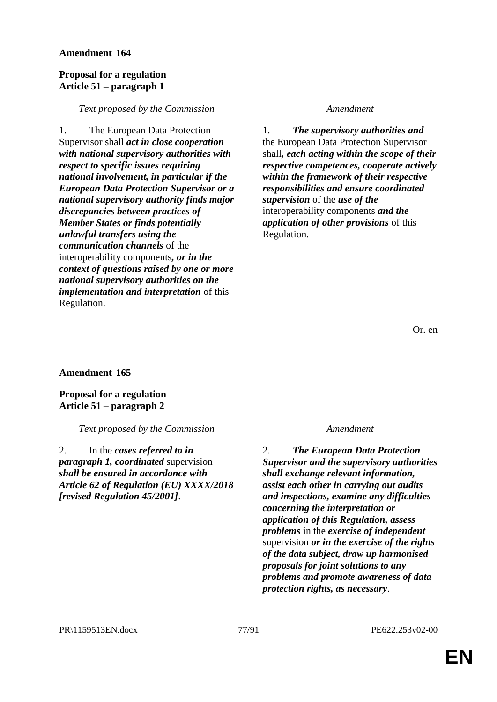# **Proposal for a regulation Article 51 – paragraph 1**

### *Text proposed by the Commission Amendment*

1. The European Data Protection Supervisor shall *act in close cooperation with national supervisory authorities with respect to specific issues requiring national involvement, in particular if the European Data Protection Supervisor or a national supervisory authority finds major discrepancies between practices of Member States or finds potentially unlawful transfers using the communication channels* of the interoperability components*, or in the context of questions raised by one or more national supervisory authorities on the implementation and interpretation* of this Regulation.

1. *The supervisory authorities and* the European Data Protection Supervisor shall*, each acting within the scope of their respective competences, cooperate actively within the framework of their respective responsibilities and ensure coordinated supervision* of the *use of the*  interoperability components *and the application of other provisions* of this Regulation.

Or. en

# **Amendment 165**

**Proposal for a regulation Article 51 – paragraph 2**

*Text proposed by the Commission Amendment*

2. In the *cases referred to in paragraph 1, coordinated* supervision *shall be ensured in accordance with Article 62 of Regulation (EU) XXXX/2018 [revised Regulation 45/2001]*.

2. *The European Data Protection Supervisor and the supervisory authorities shall exchange relevant information, assist each other in carrying out audits and inspections, examine any difficulties concerning the interpretation or application of this Regulation, assess problems* in the *exercise of independent* supervision *or in the exercise of the rights of the data subject, draw up harmonised proposals for joint solutions to any problems and promote awareness of data protection rights, as necessary*.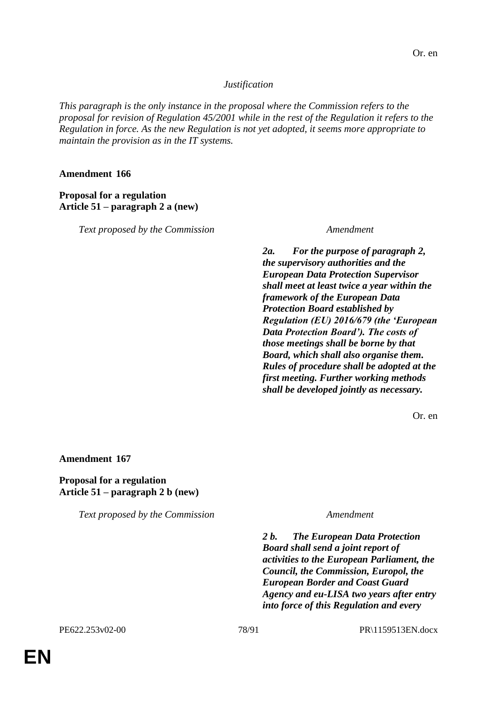*Justification*

*This paragraph is the only instance in the proposal where the Commission refers to the proposal for revision of Regulation 45/2001 while in the rest of the Regulation it refers to the Regulation in force. As the new Regulation is not yet adopted, it seems more appropriate to maintain the provision as in the IT systems.*

# **Amendment 166**

# **Proposal for a regulation Article 51 – paragraph 2 a (new)**

*Text proposed by the Commission Amendment*

*2a. For the purpose of paragraph 2, the supervisory authorities and the European Data Protection Supervisor shall meet at least twice a year within the framework of the European Data Protection Board established by Regulation (EU) 2016/679 (the 'European Data Protection Board'). The costs of those meetings shall be borne by that Board, which shall also organise them. Rules of procedure shall be adopted at the first meeting. Further working methods shall be developed jointly as necessary.*

Or. en

**Amendment 167**

**Proposal for a regulation Article 51 – paragraph 2 b (new)**

*Text proposed by the Commission Amendment*

*2 b. The European Data Protection Board shall send a joint report of activities to the European Parliament, the Council, the Commission, Europol, the European Border and Coast Guard Agency and eu-LISA two years after entry into force of this Regulation and every*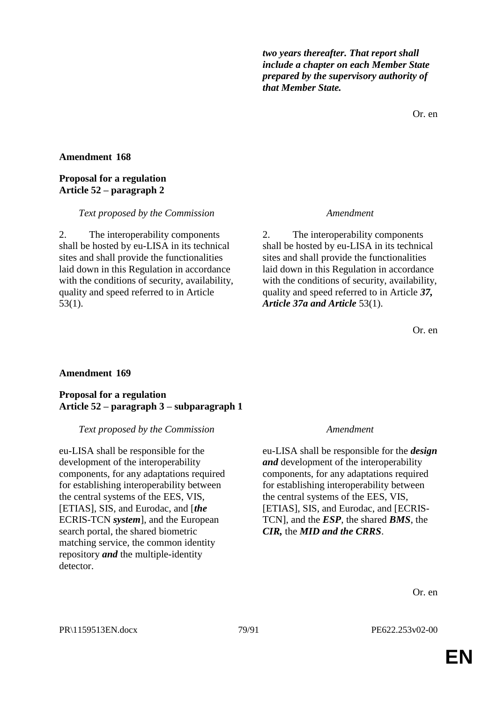*two years thereafter. That report shall include a chapter on each Member State prepared by the supervisory authority of that Member State.*

Or. en

### **Amendment 168**

# **Proposal for a regulation Article 52 – paragraph 2**

### *Text proposed by the Commission Amendment*

2. The interoperability components shall be hosted by eu-LISA in its technical sites and shall provide the functionalities laid down in this Regulation in accordance with the conditions of security, availability, quality and speed referred to in Article 53(1).

2. The interoperability components shall be hosted by eu-LISA in its technical sites and shall provide the functionalities laid down in this Regulation in accordance with the conditions of security, availability, quality and speed referred to in Article *37, Article 37a and Article* 53(1).

Or. en

# **Amendment 169**

### **Proposal for a regulation Article 52 – paragraph 3 – subparagraph 1**

### *Text proposed by the Commission Amendment*

eu-LISA shall be responsible for the development of the interoperability components, for any adaptations required for establishing interoperability between the central systems of the EES, VIS, [ETIAS], SIS, and Eurodac, and [*the* ECRIS-TCN *system*], and the European search portal, the shared biometric matching service, the common identity repository *and* the multiple-identity detector.

eu-LISA shall be responsible for the *design and* development of the interoperability components, for any adaptations required for establishing interoperability between the central systems of the EES, VIS, [ETIAS], SIS, and Eurodac, and [ECRIS-TCN], and the *ESP*, the shared *BMS*, the *CIR,* the *MID and the CRRS*.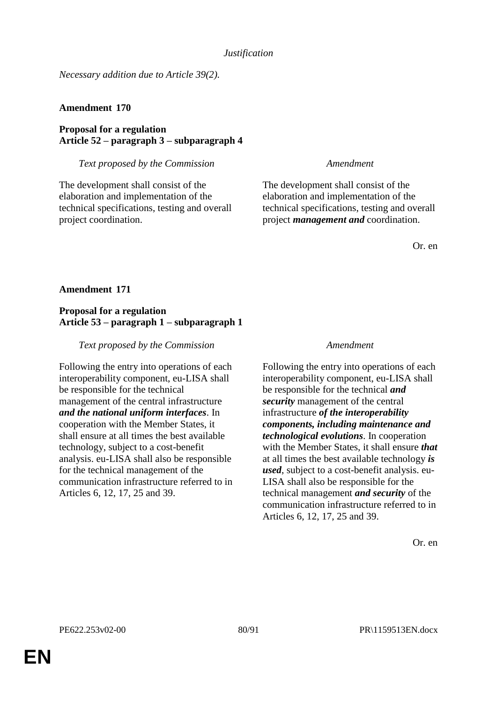# *Justification*

*Necessary addition due to Article 39(2).*

# **Amendment 170**

# **Proposal for a regulation Article 52 – paragraph 3 – subparagraph 4**

# *Text proposed by the Commission Amendment*

The development shall consist of the elaboration and implementation of the technical specifications, testing and overall project coordination.

The development shall consist of the elaboration and implementation of the technical specifications, testing and overall project *management and* coordination.

Or. en

# **Amendment 171**

# **Proposal for a regulation Article 53 – paragraph 1 – subparagraph 1**

*Text proposed by the Commission Amendment*

Following the entry into operations of each interoperability component, eu-LISA shall be responsible for the technical management of the central infrastructure *and the national uniform interfaces*. In cooperation with the Member States, it shall ensure at all times the best available technology, subject to a cost-benefit analysis. eu-LISA shall also be responsible for the technical management of the communication infrastructure referred to in Articles 6, 12, 17, 25 and 39.

Following the entry into operations of each interoperability component, eu-LISA shall be responsible for the technical *and security* management of the central infrastructure *of the interoperability components, including maintenance and technological evolutions*. In cooperation with the Member States, it shall ensure *that* at all times the best available technology *is used*, subject to a cost-benefit analysis. eu-LISA shall also be responsible for the technical management *and security* of the communication infrastructure referred to in Articles 6, 12, 17, 25 and 39.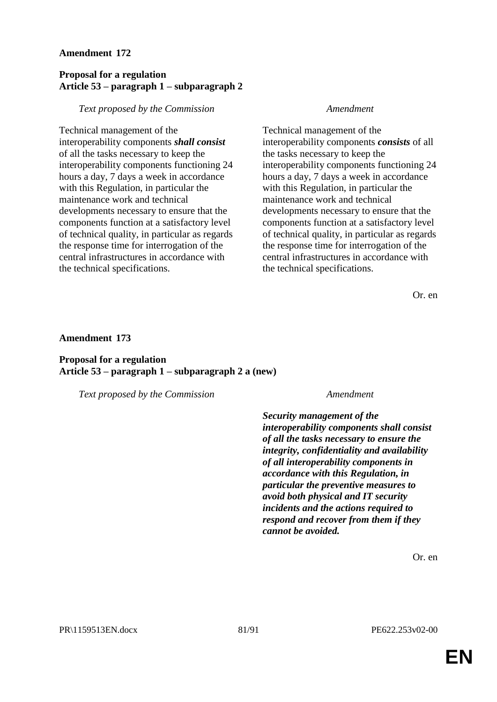# **Proposal for a regulation Article 53 – paragraph 1 – subparagraph 2**

*Text proposed by the Commission Amendment*

Technical management of the interoperability components *shall consist* of all the tasks necessary to keep the interoperability components functioning 24 hours a day, 7 days a week in accordance with this Regulation, in particular the maintenance work and technical developments necessary to ensure that the components function at a satisfactory level of technical quality, in particular as regards the response time for interrogation of the central infrastructures in accordance with the technical specifications.

Technical management of the interoperability components *consists* of all the tasks necessary to keep the interoperability components functioning 24 hours a day, 7 days a week in accordance with this Regulation, in particular the maintenance work and technical developments necessary to ensure that the components function at a satisfactory level of technical quality, in particular as regards the response time for interrogation of the central infrastructures in accordance with the technical specifications.

Or. en

# **Amendment 173**

**Proposal for a regulation Article 53 – paragraph 1 – subparagraph 2 a (new)**

*Text proposed by the Commission Amendment*

*Security management of the interoperability components shall consist of all the tasks necessary to ensure the integrity, confidentiality and availability of all interoperability components in accordance with this Regulation, in particular the preventive measures to avoid both physical and IT security incidents and the actions required to respond and recover from them if they cannot be avoided.*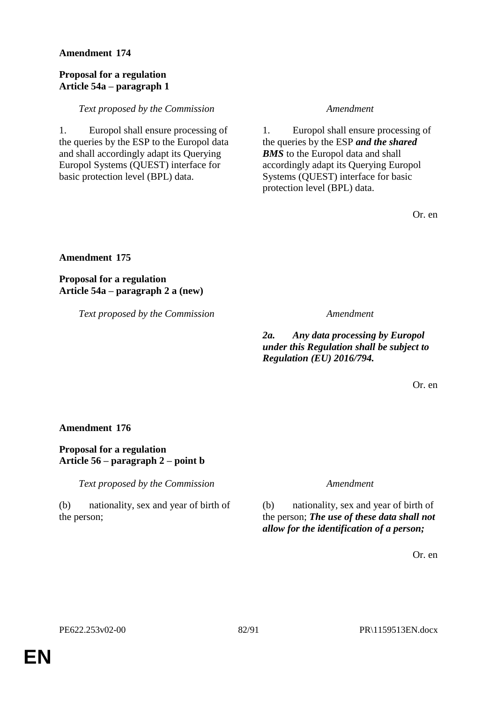### **Proposal for a regulation Article 54a – paragraph 1**

# *Text proposed by the Commission Amendment*

1. Europol shall ensure processing of the queries by the ESP to the Europol data and shall accordingly adapt its Querying Europol Systems (QUEST) interface for basic protection level (BPL) data.

1. Europol shall ensure processing of the queries by the ESP *and the shared*  **BMS** to the Europol data and shall accordingly adapt its Querying Europol Systems (QUEST) interface for basic protection level (BPL) data.

Or. en

# **Amendment 175**

**Proposal for a regulation Article 54a – paragraph 2 a (new)**

*Text proposed by the Commission Amendment*

*2a. Any data processing by Europol under this Regulation shall be subject to Regulation (EU) 2016/794.*

Or. en

# **Amendment 176**

# **Proposal for a regulation Article 56 – paragraph 2 – point b**

*Text proposed by the Commission Amendment*

(b) nationality, sex and year of birth of the person;

(b) nationality, sex and year of birth of the person; *The use of these data shall not allow for the identification of a person;*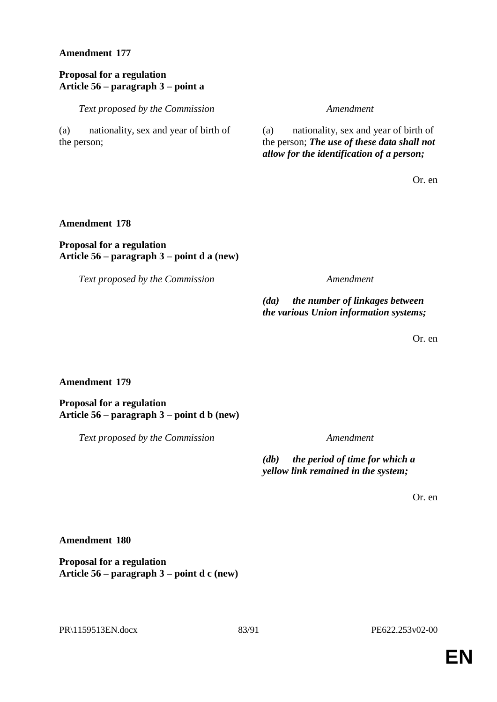# **Proposal for a regulation Article 56 – paragraph 3 – point a**

*Text proposed by the Commission Amendment*

(a) nationality, sex and year of birth of the person;

(a) nationality, sex and year of birth of the person; *The use of these data shall not allow for the identification of a person;*

Or. en

# **Amendment 178**

**Proposal for a regulation Article 56 – paragraph 3 – point d a (new)**

*Text proposed by the Commission Amendment*

*(da) the number of linkages between the various Union information systems;*

Or. en

# **Amendment 179**

**Proposal for a regulation Article 56 – paragraph 3 – point d b (new)**

*Text proposed by the Commission Amendment*

*(db) the period of time for which a yellow link remained in the system;*

Or. en

**Amendment 180**

**Proposal for a regulation Article 56 – paragraph 3 – point d c (new)**

PR\1159513EN.docx 83/91 PE622.253v02-00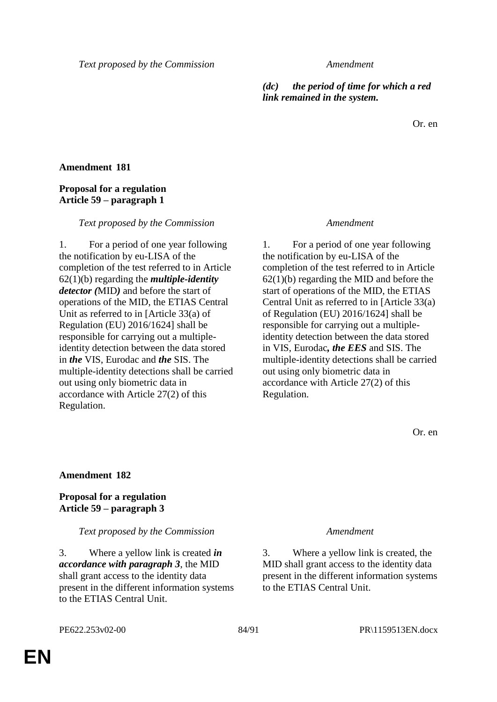*Text proposed by the Commission Amendment*

*(dc) the period of time for which a red link remained in the system.*

Or. en

# **Amendment 181**

# **Proposal for a regulation Article 59 – paragraph 1**

### *Text proposed by the Commission Amendment*

1. For a period of one year following the notification by eu-LISA of the completion of the test referred to in Article 62(1)(b) regarding the *multiple-identity detector (*MID*)* and before the start of operations of the MID, the ETIAS Central Unit as referred to in [Article 33(a) of Regulation (EU) 2016/1624] shall be responsible for carrying out a multipleidentity detection between the data stored in *the* VIS, Eurodac and *the* SIS. The multiple-identity detections shall be carried out using only biometric data in accordance with Article 27(2) of this Regulation.

1. For a period of one year following the notification by eu-LISA of the completion of the test referred to in Article 62(1)(b) regarding the MID and before the start of operations of the MID, the ETIAS Central Unit as referred to in [Article 33(a) of Regulation (EU) 2016/1624] shall be responsible for carrying out a multipleidentity detection between the data stored in VIS, Eurodac*, the EES* and SIS. The multiple-identity detections shall be carried out using only biometric data in accordance with Article 27(2) of this Regulation.

Or. en

# **Amendment 182**

**Proposal for a regulation Article 59 – paragraph 3**

# *Text proposed by the Commission Amendment*

3. Where a yellow link is created *in accordance with paragraph 3*, the MID shall grant access to the identity data present in the different information systems to the ETIAS Central Unit.

3. Where a yellow link is created, the MID shall grant access to the identity data present in the different information systems to the ETIAS Central Unit.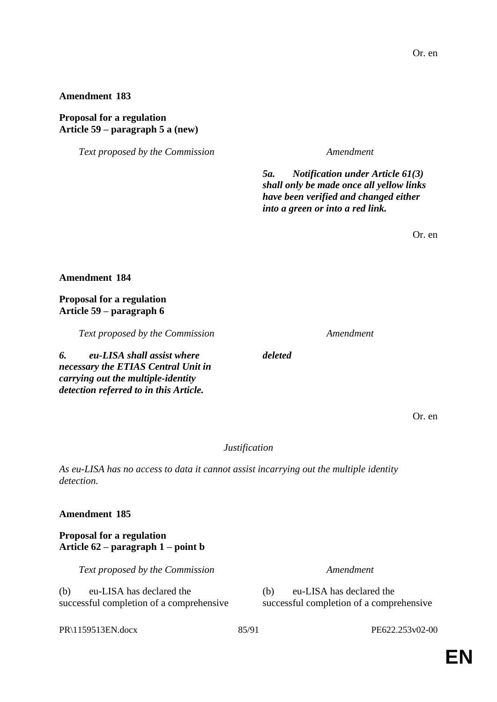### **Proposal for a regulation Article 59 – paragraph 5 a (new)**

*Text proposed by the Commission Amendment*

*5a. Notification under Article 61(3) shall only be made once all yellow links have been verified and changed either into a green or into a red link.*

Or. en

# **Amendment 184**

**Proposal for a regulation Article 59 – paragraph 6**

*Text proposed by the Commission Amendment*

*6. eu-LISA shall assist where necessary the ETIAS Central Unit in carrying out the multiple-identity detection referred to in this Article.*

*deleted*

Or. en

### *Justification*

*As eu-LISA has no access to data it cannot assist incarrying out the multiple identity detection.*

### **Amendment 185**

### **Proposal for a regulation Article 62 – paragraph 1 – point b**

*Text proposed by the Commission Amendment*

(b) eu-LISA has declared the successful completion of a comprehensive

(b) eu-LISA has declared the successful completion of a comprehensive

PR\1159513EN.docx 85/91 PE622.253v02-00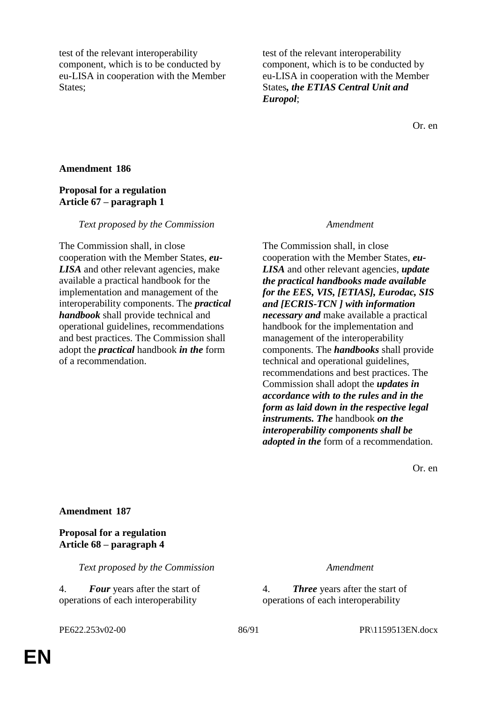test of the relevant interoperability component, which is to be conducted by eu-LISA in cooperation with the Member States;

test of the relevant interoperability component, which is to be conducted by eu-LISA in cooperation with the Member States*, the ETIAS Central Unit and Europol*;

Or. en

# **Amendment 186**

# **Proposal for a regulation Article 67 – paragraph 1**

### *Text proposed by the Commission Amendment*

The Commission shall, in close cooperation with the Member States, *eu-LISA* and other relevant agencies, make available a practical handbook for the implementation and management of the interoperability components. The *practical handbook* shall provide technical and operational guidelines, recommendations and best practices. The Commission shall adopt the *practical* handbook *in the* form of a recommendation.

The Commission shall, in close cooperation with the Member States, *eu-LISA* and other relevant agencies, *update the practical handbooks made available for the EES, VIS, [ETIAS], Eurodac, SIS and [ECRIS-TCN ] with information necessary and* make available a practical handbook for the implementation and management of the interoperability components. The *handbooks* shall provide technical and operational guidelines, recommendations and best practices. The Commission shall adopt the *updates in accordance with to the rules and in the form as laid down in the respective legal instruments. The* handbook *on the interoperability components shall be adopted in the* form of a recommendation.

Or. en

## **Amendment 187**

# **Proposal for a regulation Article 68 – paragraph 4**

*Text proposed by the Commission Amendment*

4. *Four* years after the start of operations of each interoperability

4. *Three* years after the start of operations of each interoperability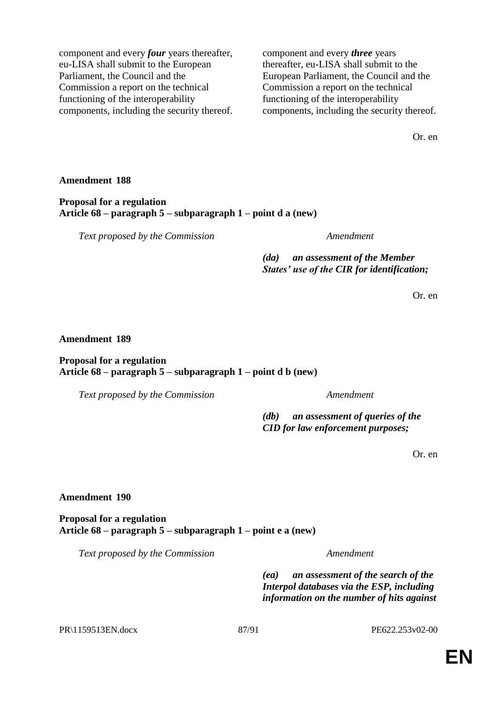component and every *four* years thereafter, eu-LISA shall submit to the European Parliament, the Council and the Commission a report on the technical functioning of the interoperability components, including the security thereof.

component and every *three* years thereafter, eu-LISA shall submit to the European Parliament, the Council and the Commission a report on the technical functioning of the interoperability components, including the security thereof.

Or. en

### **Amendment 188**

### **Proposal for a regulation Article 68 – paragraph 5 – subparagraph 1 – point d a (new)**

*Text proposed by the Commission Amendment*

*(da) an assessment of the Member States' use of the CIR for identification;*

Or. en

### **Amendment 189**

### **Proposal for a regulation Article 68 – paragraph 5 – subparagraph 1 – point d b (new)**

*Text proposed by the Commission Amendment*

*(db) an assessment of queries of the CID for law enforcement purposes;*

Or. en

### **Amendment 190**

**Proposal for a regulation Article 68 – paragraph 5 – subparagraph 1 – point e a (new)**

*Text proposed by the Commission Amendment*

*(ea) an assessment of the search of the Interpol databases via the ESP, including information on the number of hits against*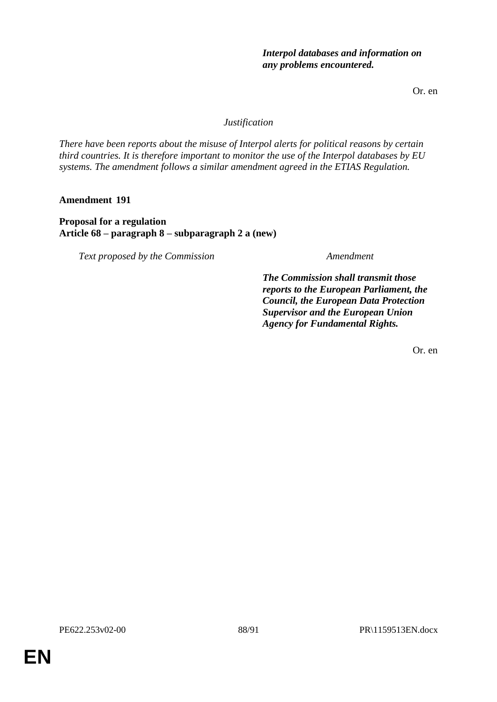# *Interpol databases and information on any problems encountered.*

Or. en

# *Justification*

*There have been reports about the misuse of Interpol alerts for political reasons by certain third countries. It is therefore important to monitor the use of the Interpol databases by EU systems. The amendment follows a similar amendment agreed in the ETIAS Regulation.*

**Amendment 191**

# **Proposal for a regulation Article 68 – paragraph 8 – subparagraph 2 a (new)**

*Text proposed by the Commission Amendment*

*The Commission shall transmit those reports to the European Parliament, the Council, the European Data Protection Supervisor and the European Union Agency for Fundamental Rights.*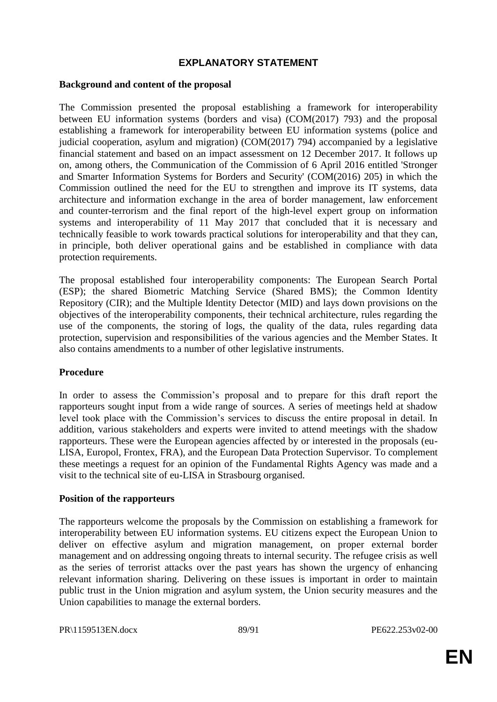# **EXPLANATORY STATEMENT**

# **Background and content of the proposal**

The Commission presented the proposal establishing a framework for interoperability between EU information systems (borders and visa) (COM(2017) 793) and the proposal establishing a framework for interoperability between EU information systems (police and judicial cooperation, asylum and migration) (COM(2017) 794) accompanied by a legislative financial statement and based on an impact assessment on 12 December 2017. It follows up on, among others, the Communication of the Commission of 6 April 2016 entitled 'Stronger and Smarter Information Systems for Borders and Security' (COM(2016) 205) in which the Commission outlined the need for the EU to strengthen and improve its IT systems, data architecture and information exchange in the area of border management, law enforcement and counter-terrorism and the final report of the high-level expert group on information systems and interoperability of 11 May 2017 that concluded that it is necessary and technically feasible to work towards practical solutions for interoperability and that they can, in principle, both deliver operational gains and be established in compliance with data protection requirements.

The proposal established four interoperability components: The European Search Portal (ESP); the shared Biometric Matching Service (Shared BMS); the Common Identity Repository (CIR); and the Multiple Identity Detector (MID) and lays down provisions on the objectives of the interoperability components, their technical architecture, rules regarding the use of the components, the storing of logs, the quality of the data, rules regarding data protection, supervision and responsibilities of the various agencies and the Member States. It also contains amendments to a number of other legislative instruments.

# **Procedure**

In order to assess the Commission's proposal and to prepare for this draft report the rapporteurs sought input from a wide range of sources. A series of meetings held at shadow level took place with the Commission's services to discuss the entire proposal in detail. In addition, various stakeholders and experts were invited to attend meetings with the shadow rapporteurs. These were the European agencies affected by or interested in the proposals (eu-LISA, Europol, Frontex, FRA), and the European Data Protection Supervisor. To complement these meetings a request for an opinion of the Fundamental Rights Agency was made and a visit to the technical site of eu-LISA in Strasbourg organised.

# **Position of the rapporteurs**

The rapporteurs welcome the proposals by the Commission on establishing a framework for interoperability between EU information systems. EU citizens expect the European Union to deliver on effective asylum and migration management, on proper external border management and on addressing ongoing threats to internal security. The refugee crisis as well as the series of terrorist attacks over the past years has shown the urgency of enhancing relevant information sharing. Delivering on these issues is important in order to maintain public trust in the Union migration and asylum system, the Union security measures and the Union capabilities to manage the external borders.

PR\1159513EN.docx 89/91 PE622.253v02-00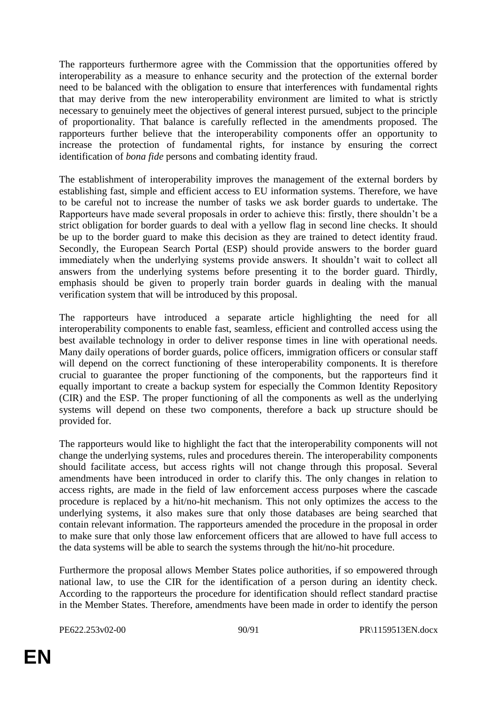The rapporteurs furthermore agree with the Commission that the opportunities offered by interoperability as a measure to enhance security and the protection of the external border need to be balanced with the obligation to ensure that interferences with fundamental rights that may derive from the new interoperability environment are limited to what is strictly necessary to genuinely meet the objectives of general interest pursued, subject to the principle of proportionality. That balance is carefully reflected in the amendments proposed. The rapporteurs further believe that the interoperability components offer an opportunity to increase the protection of fundamental rights, for instance by ensuring the correct identification of *bona fide* persons and combating identity fraud.

The establishment of interoperability improves the management of the external borders by establishing fast, simple and efficient access to EU information systems. Therefore, we have to be careful not to increase the number of tasks we ask border guards to undertake. The Rapporteurs have made several proposals in order to achieve this: firstly, there shouldn't be a strict obligation for border guards to deal with a yellow flag in second line checks. It should be up to the border guard to make this decision as they are trained to detect identity fraud. Secondly, the European Search Portal (ESP) should provide answers to the border guard immediately when the underlying systems provide answers. It shouldn't wait to collect all answers from the underlying systems before presenting it to the border guard. Thirdly, emphasis should be given to properly train border guards in dealing with the manual verification system that will be introduced by this proposal.

The rapporteurs have introduced a separate article highlighting the need for all interoperability components to enable fast, seamless, efficient and controlled access using the best available technology in order to deliver response times in line with operational needs. Many daily operations of border guards, police officers, immigration officers or consular staff will depend on the correct functioning of these interoperability components. It is therefore crucial to guarantee the proper functioning of the components, but the rapporteurs find it equally important to create a backup system for especially the Common Identity Repository (CIR) and the ESP. The proper functioning of all the components as well as the underlying systems will depend on these two components, therefore a back up structure should be provided for.

The rapporteurs would like to highlight the fact that the interoperability components will not change the underlying systems, rules and procedures therein. The interoperability components should facilitate access, but access rights will not change through this proposal. Several amendments have been introduced in order to clarify this. The only changes in relation to access rights, are made in the field of law enforcement access purposes where the cascade procedure is replaced by a hit/no-hit mechanism. This not only optimizes the access to the underlying systems, it also makes sure that only those databases are being searched that contain relevant information. The rapporteurs amended the procedure in the proposal in order to make sure that only those law enforcement officers that are allowed to have full access to the data systems will be able to search the systems through the hit/no-hit procedure.

Furthermore the proposal allows Member States police authorities, if so empowered through national law, to use the CIR for the identification of a person during an identity check. According to the rapporteurs the procedure for identification should reflect standard practise in the Member States. Therefore, amendments have been made in order to identify the person